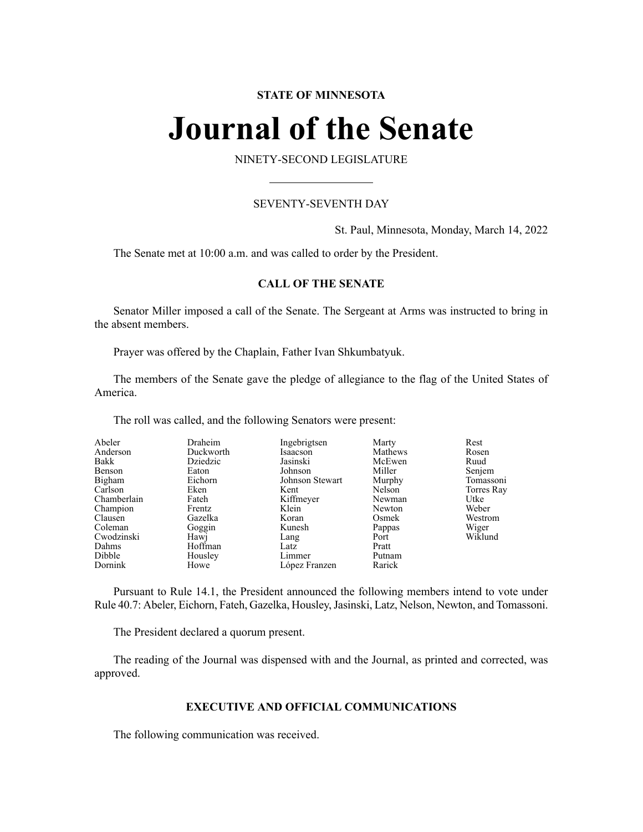# **STATE OF MINNESOTA**

# **Journal of the Senate**

NINETY-SECOND LEGISLATURE

# SEVENTY-SEVENTH DAY

St. Paul, Minnesota, Monday, March 14, 2022

The Senate met at 10:00 a.m. and was called to order by the President.

# **CALL OF THE SENATE**

Senator Miller imposed a call of the Senate. The Sergeant at Arms was instructed to bring in the absent members.

Prayer was offered by the Chaplain, Father Ivan Shkumbatyuk.

The members of the Senate gave the pledge of allegiance to the flag of the United States of America.

The roll was called, and the following Senators were present:

| Abeler      | Draheim   | Ingebrigtsen    | Marty   | Rest       |
|-------------|-----------|-----------------|---------|------------|
| Anderson    | Duckworth | Isaacson        | Mathews | Rosen      |
| Bakk        | Dziedzic  | Jasinski        | McEwen  | Ruud       |
| Benson      | Eaton     | Johnson         | Miller  | Senjem     |
| Bigham      | Eichorn   | Johnson Stewart | Murphy  | Tomassoni  |
| Carlson     | Eken      | Kent            | Nelson  | Torres Ray |
| Chamberlain | Fateh     | Kiffmeyer       | Newman  | Utke       |
| Champion    | Frentz    | Klein           | Newton  | Weber      |
| Clausen     | Gazelka   | Koran           | Osmek   | Westrom    |
| Coleman     | Goggin    | Kunesh          | Pappas  | Wiger      |
| Cwodzinski  | Hawj      | Lang            | Port    | Wiklund    |
| Dahms       | Hoffman   | Latz            | Pratt   |            |
| Dibble      | Housley   | Limmer          | Putnam  |            |
| Dornink     | Howe      | López Franzen   | Rarick  |            |

Pursuant to Rule 14.1, the President announced the following members intend to vote under Rule 40.7: Abeler, Eichorn, Fateh, Gazelka, Housley,Jasinski, Latz, Nelson, Newton, and Tomassoni.

The President declared a quorum present.

The reading of the Journal was dispensed with and the Journal, as printed and corrected, was approved.

# **EXECUTIVE AND OFFICIAL COMMUNICATIONS**

The following communication was received.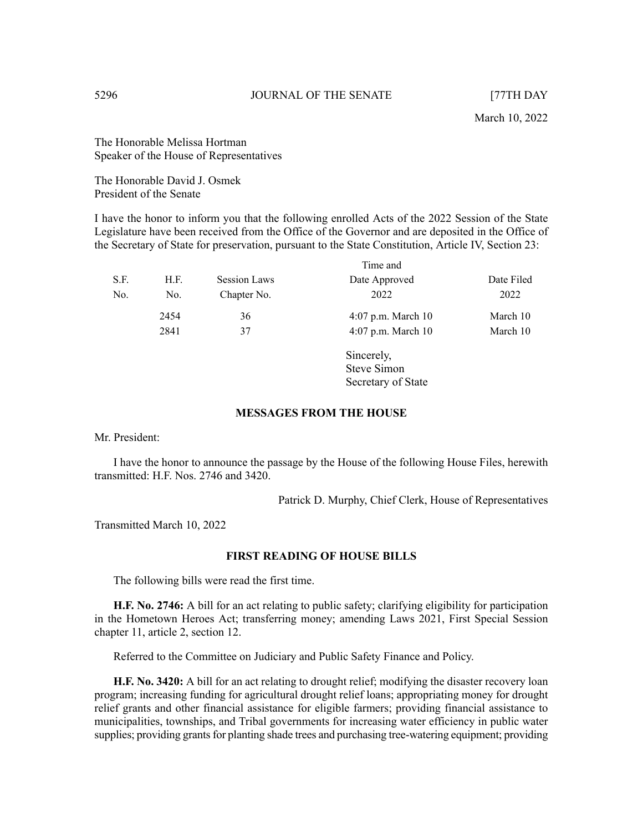The Honorable Melissa Hortman Speaker of the House of Representatives

The Honorable David J. Osmek President of the Senate

I have the honor to inform you that the following enrolled Acts of the 2022 Session of the State Legislature have been received from the Office of the Governor and are deposited in the Office of the Secretary of State for preservation, pursuant to the State Constitution, Article IV, Section 23:

|      |      | Time and            |                      |            |
|------|------|---------------------|----------------------|------------|
| S.F. | H.F. | <b>Session Laws</b> | Date Approved        | Date Filed |
| No.  | No.  | Chapter No.         | 2022                 | 2022       |
|      | 2454 | 36                  | 4:07 p.m. March 10   | March 10   |
|      | 2841 | 37                  | $4:07$ p.m. March 10 | March 10   |
|      |      |                     | Sincerely,           |            |
|      |      |                     | Steve Simon          |            |

# **MESSAGES FROM THE HOUSE**

Mr. President:

I have the honor to announce the passage by the House of the following House Files, herewith transmitted: H.F. Nos. 2746 and 3420.

Patrick D. Murphy, Chief Clerk, House of Representatives

Secretary of State

Transmitted March 10, 2022

# **FIRST READING OF HOUSE BILLS**

The following bills were read the first time.

**H.F. No. 2746:** A bill for an act relating to public safety; clarifying eligibility for participation in the Hometown Heroes Act; transferring money; amending Laws 2021, First Special Session chapter 11, article 2, section 12.

Referred to the Committee on Judiciary and Public Safety Finance and Policy.

**H.F. No. 3420:** A bill for an act relating to drought relief; modifying the disaster recovery loan program; increasing funding for agricultural drought relief loans; appropriating money for drought relief grants and other financial assistance for eligible farmers; providing financial assistance to municipalities, townships, and Tribal governments for increasing water efficiency in public water supplies; providing grants for planting shade trees and purchasing tree-watering equipment; providing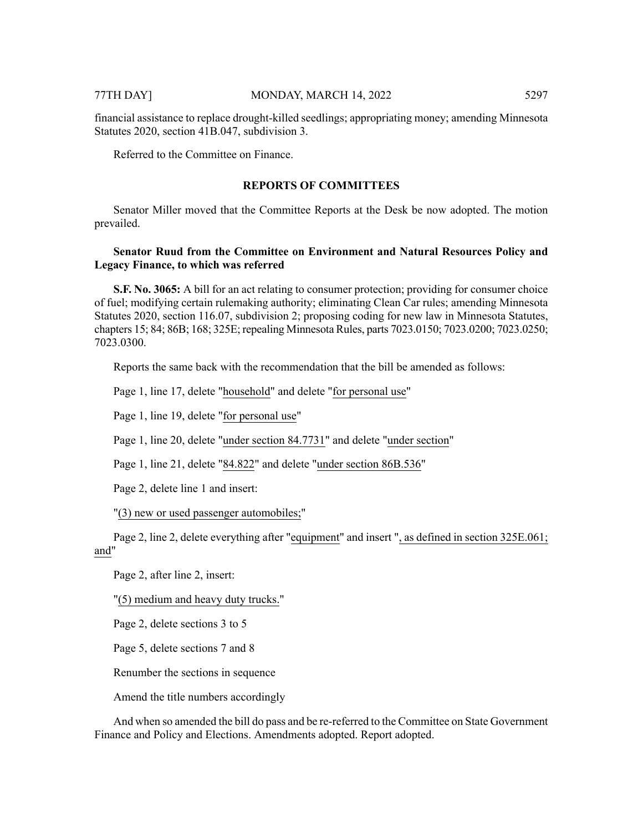financial assistance to replace drought-killed seedlings; appropriating money; amending Minnesota Statutes 2020, section 41B.047, subdivision 3.

Referred to the Committee on Finance.

# **REPORTS OF COMMITTEES**

Senator Miller moved that the Committee Reports at the Desk be now adopted. The motion prevailed.

# **Senator Ruud from the Committee on Environment and Natural Resources Policy and Legacy Finance, to which was referred**

**S.F. No. 3065:** A bill for an act relating to consumer protection; providing for consumer choice of fuel; modifying certain rulemaking authority; eliminating Clean Car rules; amending Minnesota Statutes 2020, section 116.07, subdivision 2; proposing coding for new law in Minnesota Statutes, chapters 15; 84; 86B; 168; 325E; repealing Minnesota Rules, parts 7023.0150; 7023.0200; 7023.0250; 7023.0300.

Reports the same back with the recommendation that the bill be amended as follows:

Page 1, line 17, delete "household" and delete "for personal use"

Page 1, line 19, delete "for personal use"

Page 1, line 20, delete "under section 84.7731" and delete "under section"

Page 1, line 21, delete "84.822" and delete "under section 86B.536"

Page 2, delete line 1 and insert:

"(3) new or used passenger automobiles;"

Page 2, line 2, delete everything after "equipment" and insert ", as defined in section 325E.061; and"

Page 2, after line 2, insert:

"(5) medium and heavy duty trucks."

Page 2, delete sections 3 to 5

Page 5, delete sections 7 and 8

Renumber the sections in sequence

Amend the title numbers accordingly

And when so amended the bill do pass and be re-referred to the Committee on State Government Finance and Policy and Elections. Amendments adopted. Report adopted.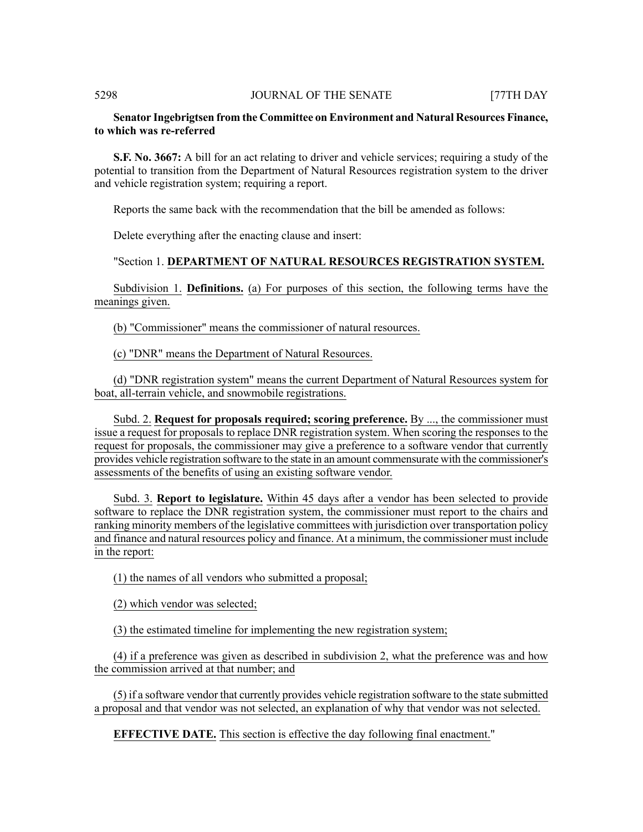# **Senator Ingebrigtsen from the Committee on Environment and Natural Resources Finance, to which was re-referred**

**S.F. No. 3667:** A bill for an act relating to driver and vehicle services; requiring a study of the potential to transition from the Department of Natural Resources registration system to the driver and vehicle registration system; requiring a report.

Reports the same back with the recommendation that the bill be amended as follows:

Delete everything after the enacting clause and insert:

# "Section 1. **DEPARTMENT OF NATURAL RESOURCES REGISTRATION SYSTEM.**

Subdivision 1. **Definitions.** (a) For purposes of this section, the following terms have the meanings given.

(b) "Commissioner" means the commissioner of natural resources.

(c) "DNR" means the Department of Natural Resources.

(d) "DNR registration system" means the current Department of Natural Resources system for boat, all-terrain vehicle, and snowmobile registrations.

Subd. 2. **Request for proposals required; scoring preference.** By ..., the commissioner must issue a request for proposals to replace DNR registration system. When scoring the responses to the request for proposals, the commissioner may give a preference to a software vendor that currently provides vehicle registration software to the state in an amount commensurate with the commissioner's assessments of the benefits of using an existing software vendor.

Subd. 3. **Report to legislature.** Within 45 days after a vendor has been selected to provide software to replace the DNR registration system, the commissioner must report to the chairs and ranking minority members of the legislative committees with jurisdiction over transportation policy and finance and natural resources policy and finance. At a minimum, the commissioner must include in the report:

(1) the names of all vendors who submitted a proposal;

(2) which vendor was selected;

(3) the estimated timeline for implementing the new registration system;

(4) if a preference was given as described in subdivision 2, what the preference was and how the commission arrived at that number; and

(5) if a software vendor that currently provides vehicle registration software to the state submitted a proposal and that vendor was not selected, an explanation of why that vendor was not selected.

**EFFECTIVE DATE.** This section is effective the day following final enactment."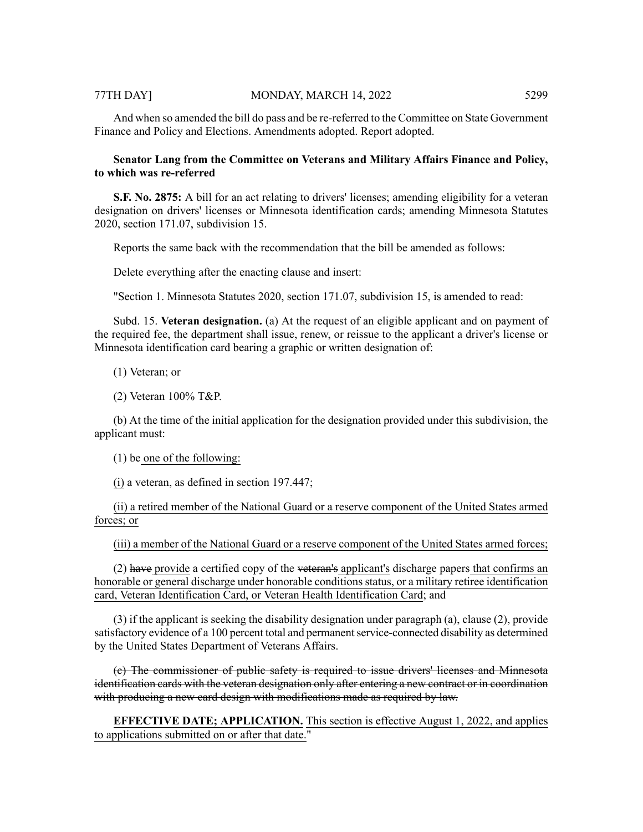# 77TH DAY] MONDAY, MARCH 14, 2022 5299

And when so amended the bill do pass and be re-referred to the Committee on State Government Finance and Policy and Elections. Amendments adopted. Report adopted.

# **Senator Lang from the Committee on Veterans and Military Affairs Finance and Policy, to which was re-referred**

**S.F. No. 2875:** A bill for an act relating to drivers' licenses; amending eligibility for a veteran designation on drivers' licenses or Minnesota identification cards; amending Minnesota Statutes 2020, section 171.07, subdivision 15.

Reports the same back with the recommendation that the bill be amended as follows:

Delete everything after the enacting clause and insert:

"Section 1. Minnesota Statutes 2020, section 171.07, subdivision 15, is amended to read:

Subd. 15. **Veteran designation.** (a) At the request of an eligible applicant and on payment of the required fee, the department shall issue, renew, or reissue to the applicant a driver's license or Minnesota identification card bearing a graphic or written designation of:

(1) Veteran; or

(2) Veteran 100% T&P.

(b) At the time of the initial application for the designation provided under this subdivision, the applicant must:

(1) be one of the following:

(i) a veteran, as defined in section 197.447;

(ii) a retired member of the National Guard or a reserve component of the United States armed forces; or

(iii) a member of the National Guard or a reserve component of the United States armed forces;

 $(2)$  have provide a certified copy of the veteran's applicant's discharge papers that confirms an honorable or general discharge under honorable conditions status, or a military retiree identification card, Veteran Identification Card, or Veteran Health Identification Card; and

(3) if the applicant is seeking the disability designation under paragraph (a), clause (2), provide satisfactory evidence of a 100 percent total and permanent service-connected disability as determined by the United States Department of Veterans Affairs.

(c) The commissioner of public safety is required to issue drivers' licenses and Minnesota identification cards with the veteran designation only after entering a new contract or in coordination with producing a new card design with modifications made as required by law.

**EFFECTIVE DATE; APPLICATION.** This section is effective August 1, 2022, and applies to applications submitted on or after that date."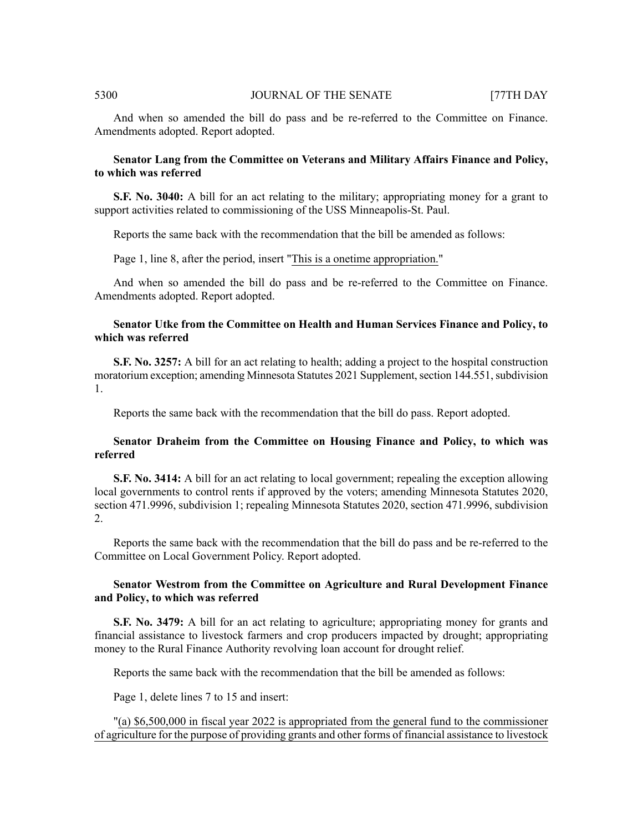And when so amended the bill do pass and be re-referred to the Committee on Finance. Amendments adopted. Report adopted.

# **Senator Lang from the Committee on Veterans and Military Affairs Finance and Policy, to which was referred**

**S.F. No. 3040:** A bill for an act relating to the military; appropriating money for a grant to support activities related to commissioning of the USS Minneapolis-St. Paul.

Reports the same back with the recommendation that the bill be amended as follows:

Page 1, line 8, after the period, insert "This is a onetime appropriation."

And when so amended the bill do pass and be re-referred to the Committee on Finance. Amendments adopted. Report adopted.

# **Senator Utke from the Committee on Health and Human Services Finance and Policy, to which was referred**

**S.F. No. 3257:** A bill for an act relating to health; adding a project to the hospital construction moratorium exception; amending Minnesota Statutes 2021 Supplement, section 144.551, subdivision 1.

Reports the same back with the recommendation that the bill do pass. Report adopted.

# **Senator Draheim from the Committee on Housing Finance and Policy, to which was referred**

**S.F. No. 3414:** A bill for an act relating to local government; repealing the exception allowing local governments to control rents if approved by the voters; amending Minnesota Statutes 2020, section 471.9996, subdivision 1; repealing Minnesota Statutes 2020, section 471.9996, subdivision 2.

Reports the same back with the recommendation that the bill do pass and be re-referred to the Committee on Local Government Policy. Report adopted.

# **Senator Westrom from the Committee on Agriculture and Rural Development Finance and Policy, to which was referred**

**S.F. No. 3479:** A bill for an act relating to agriculture; appropriating money for grants and financial assistance to livestock farmers and crop producers impacted by drought; appropriating money to the Rural Finance Authority revolving loan account for drought relief.

Reports the same back with the recommendation that the bill be amended as follows:

Page 1, delete lines 7 to 15 and insert:

"(a) \$6,500,000 in fiscal year 2022 is appropriated from the general fund to the commissioner of agriculture for the purpose of providing grants and other forms of financial assistance to livestock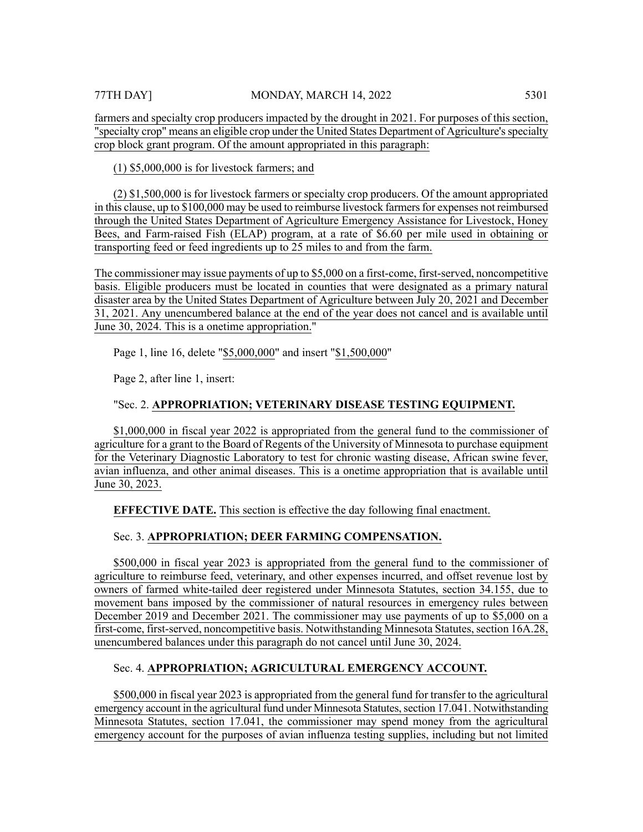farmers and specialty crop producers impacted by the drought in 2021. For purposes of this section, "specialty crop" means an eligible crop under the United States Department of Agriculture's specialty crop block grant program. Of the amount appropriated in this paragraph:

(1) \$5,000,000 is for livestock farmers; and

(2) \$1,500,000 is for livestock farmers or specialty crop producers. Of the amount appropriated in this clause, up to \$100,000 may be used to reimburse livestock farmers for expenses not reimbursed through the United States Department of Agriculture Emergency Assistance for Livestock, Honey Bees, and Farm-raised Fish (ELAP) program, at a rate of \$6.60 per mile used in obtaining or transporting feed or feed ingredients up to 25 miles to and from the farm.

The commissioner may issue payments of up to \$5,000 on a first-come, first-served, noncompetitive basis. Eligible producers must be located in counties that were designated as a primary natural disaster area by the United States Department of Agriculture between July 20, 2021 and December 31, 2021. Any unencumbered balance at the end of the year does not cancel and is available until June 30, 2024. This is a onetime appropriation."

Page 1, line 16, delete "\$5,000,000" and insert "\$1,500,000"

Page 2, after line 1, insert:

# "Sec. 2. **APPROPRIATION; VETERINARY DISEASE TESTING EQUIPMENT.**

\$1,000,000 in fiscal year 2022 is appropriated from the general fund to the commissioner of agriculture for a grant to the Board of Regents of the University of Minnesota to purchase equipment for the Veterinary Diagnostic Laboratory to test for chronic wasting disease, African swine fever, avian influenza, and other animal diseases. This is a onetime appropriation that is available until June 30, 2023.

**EFFECTIVE DATE.** This section is effective the day following final enactment.

# Sec. 3. **APPROPRIATION; DEER FARMING COMPENSATION.**

\$500,000 in fiscal year 2023 is appropriated from the general fund to the commissioner of agriculture to reimburse feed, veterinary, and other expenses incurred, and offset revenue lost by owners of farmed white-tailed deer registered under Minnesota Statutes, section 34.155, due to movement bans imposed by the commissioner of natural resources in emergency rules between December 2019 and December 2021. The commissioner may use payments of up to \$5,000 on a first-come, first-served, noncompetitive basis. Notwithstanding Minnesota Statutes, section 16A.28, unencumbered balances under this paragraph do not cancel until June 30, 2024.

# Sec. 4. **APPROPRIATION; AGRICULTURAL EMERGENCY ACCOUNT.**

\$500,000 in fiscal year 2023 is appropriated from the general fund for transfer to the agricultural emergency account in the agricultural fund under Minnesota Statutes, section 17.041. Notwithstanding Minnesota Statutes, section 17.041, the commissioner may spend money from the agricultural emergency account for the purposes of avian influenza testing supplies, including but not limited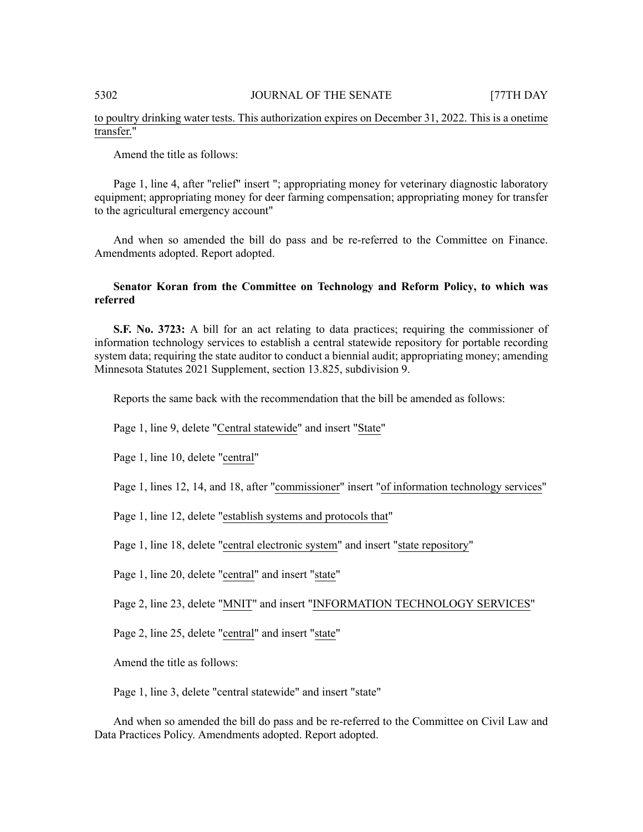# to poultry drinking water tests. This authorization expires on December 31, 2022. This is a onetime transfer."

Amend the title as follows:

Page 1, line 4, after "relief" insert "; appropriating money for veterinary diagnostic laboratory equipment; appropriating money for deer farming compensation; appropriating money for transfer to the agricultural emergency account"

And when so amended the bill do pass and be re-referred to the Committee on Finance. Amendments adopted. Report adopted.

# **Senator Koran from the Committee on Technology and Reform Policy, to which was referred**

**S.F. No. 3723:** A bill for an act relating to data practices; requiring the commissioner of information technology services to establish a central statewide repository for portable recording system data; requiring the state auditor to conduct a biennial audit; appropriating money; amending Minnesota Statutes 2021 Supplement, section 13.825, subdivision 9.

Reports the same back with the recommendation that the bill be amended as follows:

Page 1, line 9, delete "Central statewide" and insert "State"

Page 1, line 10, delete "central"

Page 1, lines 12, 14, and 18, after "commissioner" insert "of information technology services"

Page 1, line 12, delete "establish systems and protocols that"

Page 1, line 18, delete "central electronic system" and insert "state repository"

Page 1, line 20, delete "central" and insert "state"

Page 2, line 23, delete "MNIT" and insert "INFORMATION TECHNOLOGY SERVICES"

Page 2, line 25, delete "central" and insert "state"

Amend the title as follows:

Page 1, line 3, delete "central statewide" and insert "state"

And when so amended the bill do pass and be re-referred to the Committee on Civil Law and Data Practices Policy. Amendments adopted. Report adopted.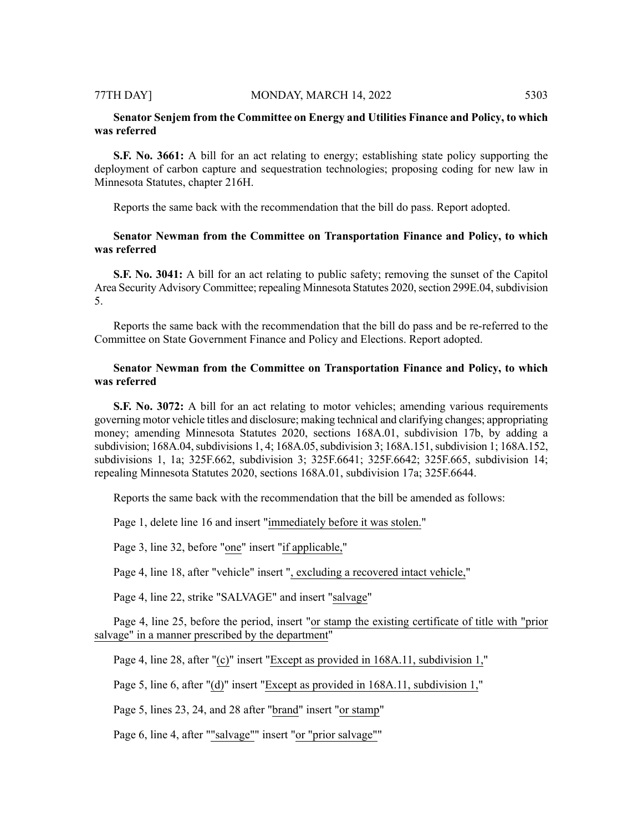#### 77TH DAY] MONDAY, MARCH 14, 2022 5303

# **Senator Senjem from the Committee on Energy and Utilities Finance and Policy, to which was referred**

**S.F. No. 3661:** A bill for an act relating to energy; establishing state policy supporting the deployment of carbon capture and sequestration technologies; proposing coding for new law in Minnesota Statutes, chapter 216H.

Reports the same back with the recommendation that the bill do pass. Report adopted.

# **Senator Newman from the Committee on Transportation Finance and Policy, to which was referred**

**S.F.** No. 3041: A bill for an act relating to public safety; removing the sunset of the Capitol Area Security Advisory Committee; repealing Minnesota Statutes 2020, section 299E.04, subdivision 5.

Reports the same back with the recommendation that the bill do pass and be re-referred to the Committee on State Government Finance and Policy and Elections. Report adopted.

# **Senator Newman from the Committee on Transportation Finance and Policy, to which was referred**

**S.F. No. 3072:** A bill for an act relating to motor vehicles; amending various requirements governing motor vehicle titles and disclosure; making technical and clarifying changes; appropriating money; amending Minnesota Statutes 2020, sections 168A.01, subdivision 17b, by adding a subdivision; 168A.04, subdivisions 1, 4; 168A.05, subdivision 3; 168A.151, subdivision 1; 168A.152, subdivisions 1, 1a; 325F.662, subdivision 3; 325F.6641; 325F.6642; 325F.665, subdivision 14; repealing Minnesota Statutes 2020, sections 168A.01, subdivision 17a; 325F.6644.

Reports the same back with the recommendation that the bill be amended as follows:

Page 1, delete line 16 and insert "immediately before it was stolen."

Page 3, line 32, before "one" insert "if applicable,"

Page 4, line 18, after "vehicle" insert ", excluding a recovered intact vehicle,"

Page 4, line 22, strike "SALVAGE" and insert "salvage"

Page 4, line 25, before the period, insert "or stamp the existing certificate of title with "prior salvage" in a manner prescribed by the department"

Page 4, line 28, after "(c)" insert "Except as provided in 168A.11, subdivision 1,"

Page 5, line 6, after "(d)" insert "Except as provided in 168A.11, subdivision 1,"

Page 5, lines 23, 24, and 28 after "brand" insert "or stamp"

Page 6, line 4, after ""salvage"" insert "or "prior salvage""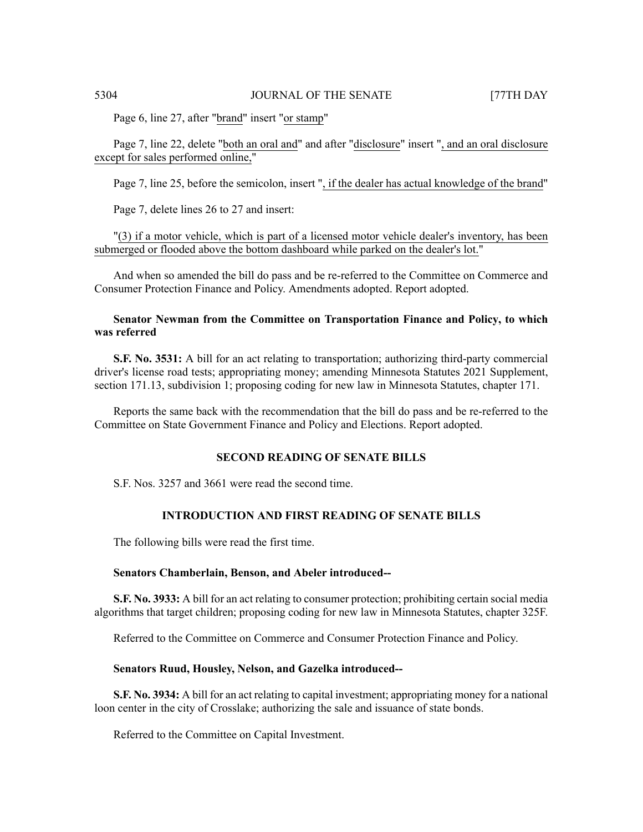Page 6, line 27, after "brand" insert "or stamp"

Page 7, line 22, delete "both an oral and" and after "disclosure" insert ", and an oral disclosure except for sales performed online,"

Page 7, line 25, before the semicolon, insert ", if the dealer has actual knowledge of the brand"

Page 7, delete lines 26 to 27 and insert:

"(3) if a motor vehicle, which is part of a licensed motor vehicle dealer's inventory, has been submerged or flooded above the bottom dashboard while parked on the dealer's lot."

And when so amended the bill do pass and be re-referred to the Committee on Commerce and Consumer Protection Finance and Policy. Amendments adopted. Report adopted.

# **Senator Newman from the Committee on Transportation Finance and Policy, to which was referred**

**S.F. No. 3531:** A bill for an act relating to transportation; authorizing third-party commercial driver's license road tests; appropriating money; amending Minnesota Statutes 2021 Supplement, section 171.13, subdivision 1; proposing coding for new law in Minnesota Statutes, chapter 171.

Reports the same back with the recommendation that the bill do pass and be re-referred to the Committee on State Government Finance and Policy and Elections. Report adopted.

# **SECOND READING OF SENATE BILLS**

S.F. Nos. 3257 and 3661 were read the second time.

# **INTRODUCTION AND FIRST READING OF SENATE BILLS**

The following bills were read the first time.

#### **Senators Chamberlain, Benson, and Abeler introduced--**

**S.F. No. 3933:** A bill for an act relating to consumer protection; prohibiting certain social media algorithms that target children; proposing coding for new law in Minnesota Statutes, chapter 325F.

Referred to the Committee on Commerce and Consumer Protection Finance and Policy.

## **Senators Ruud, Housley, Nelson, and Gazelka introduced--**

**S.F. No. 3934:** A bill for an act relating to capital investment; appropriating money for a national loon center in the city of Crosslake; authorizing the sale and issuance of state bonds.

Referred to the Committee on Capital Investment.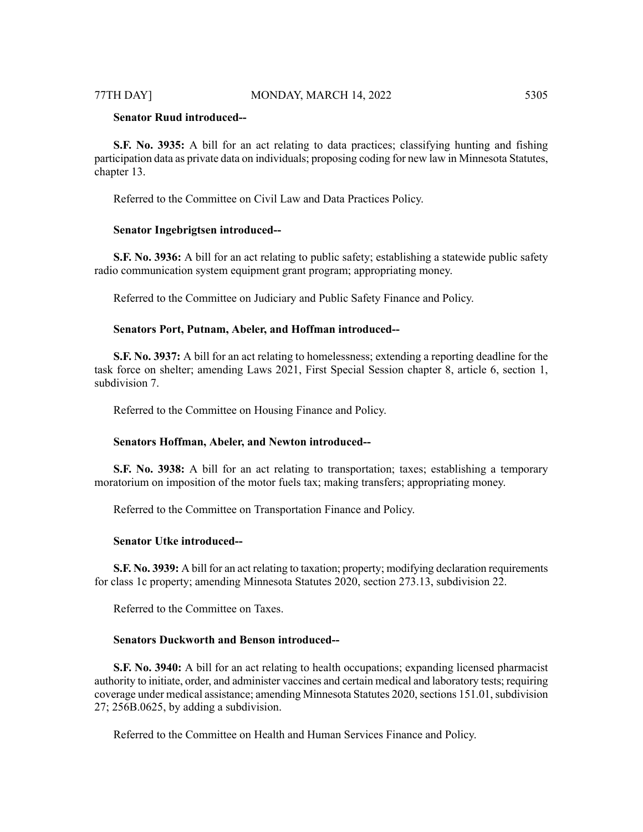# **Senator Ruud introduced--**

**S.F. No. 3935:** A bill for an act relating to data practices; classifying hunting and fishing participation data as private data on individuals; proposing coding for new law in Minnesota Statutes, chapter 13.

Referred to the Committee on Civil Law and Data Practices Policy.

#### **Senator Ingebrigtsen introduced--**

**S.F. No. 3936:** A bill for an act relating to public safety; establishing a statewide public safety radio communication system equipment grant program; appropriating money.

Referred to the Committee on Judiciary and Public Safety Finance and Policy.

### **Senators Port, Putnam, Abeler, and Hoffman introduced--**

**S.F. No. 3937:** A bill for an act relating to homelessness; extending a reporting deadline for the task force on shelter; amending Laws 2021, First Special Session chapter 8, article 6, section 1, subdivision 7.

Referred to the Committee on Housing Finance and Policy.

#### **Senators Hoffman, Abeler, and Newton introduced--**

**S.F. No. 3938:** A bill for an act relating to transportation; taxes; establishing a temporary moratorium on imposition of the motor fuels tax; making transfers; appropriating money.

Referred to the Committee on Transportation Finance and Policy.

#### **Senator Utke introduced--**

**S.F. No. 3939:** A bill for an act relating to taxation; property; modifying declaration requirements for class 1c property; amending Minnesota Statutes 2020, section 273.13, subdivision 22.

Referred to the Committee on Taxes.

#### **Senators Duckworth and Benson introduced--**

**S.F. No. 3940:** A bill for an act relating to health occupations; expanding licensed pharmacist authority to initiate, order, and administer vaccines and certain medical and laboratory tests; requiring coverage under medical assistance; amending Minnesota Statutes 2020, sections 151.01, subdivision 27; 256B.0625, by adding a subdivision.

Referred to the Committee on Health and Human Services Finance and Policy.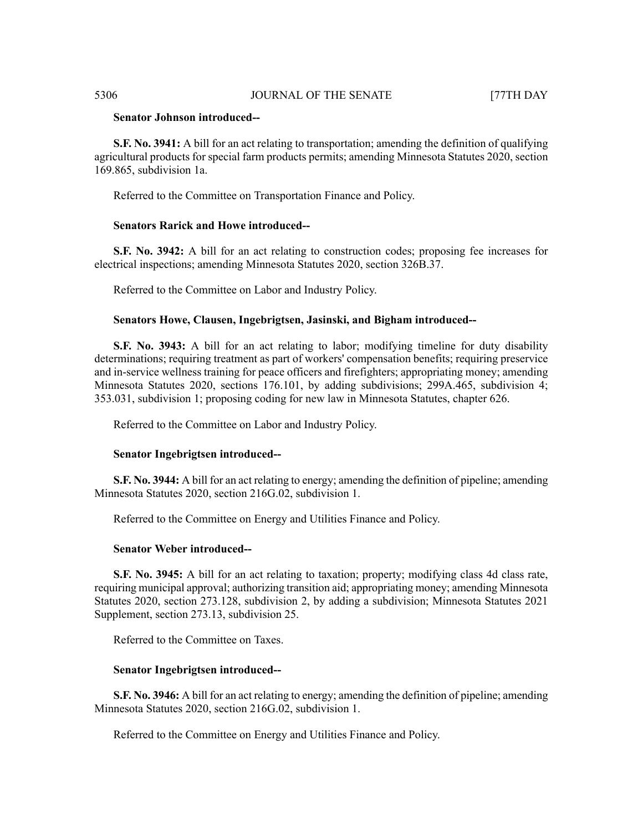# **Senator Johnson introduced--**

**S.F. No. 3941:** A bill for an act relating to transportation; amending the definition of qualifying agricultural products for special farm products permits; amending Minnesota Statutes 2020, section 169.865, subdivision 1a.

Referred to the Committee on Transportation Finance and Policy.

# **Senators Rarick and Howe introduced--**

**S.F. No. 3942:** A bill for an act relating to construction codes; proposing fee increases for electrical inspections; amending Minnesota Statutes 2020, section 326B.37.

Referred to the Committee on Labor and Industry Policy.

# **Senators Howe, Clausen, Ingebrigtsen, Jasinski, and Bigham introduced--**

**S.F. No. 3943:** A bill for an act relating to labor; modifying timeline for duty disability determinations; requiring treatment as part of workers' compensation benefits; requiring preservice and in-service wellness training for peace officers and firefighters; appropriating money; amending Minnesota Statutes 2020, sections 176.101, by adding subdivisions; 299A.465, subdivision 4; 353.031, subdivision 1; proposing coding for new law in Minnesota Statutes, chapter 626.

Referred to the Committee on Labor and Industry Policy.

#### **Senator Ingebrigtsen introduced--**

**S.F. No. 3944:** A bill for an act relating to energy; amending the definition of pipeline; amending Minnesota Statutes 2020, section 216G.02, subdivision 1.

Referred to the Committee on Energy and Utilities Finance and Policy.

#### **Senator Weber introduced--**

**S.F. No. 3945:** A bill for an act relating to taxation; property; modifying class 4d class rate, requiring municipal approval; authorizing transition aid; appropriating money; amending Minnesota Statutes 2020, section 273.128, subdivision 2, by adding a subdivision; Minnesota Statutes 2021 Supplement, section 273.13, subdivision 25.

Referred to the Committee on Taxes.

## **Senator Ingebrigtsen introduced--**

**S.F. No. 3946:** A bill for an act relating to energy; amending the definition of pipeline; amending Minnesota Statutes 2020, section 216G.02, subdivision 1.

Referred to the Committee on Energy and Utilities Finance and Policy.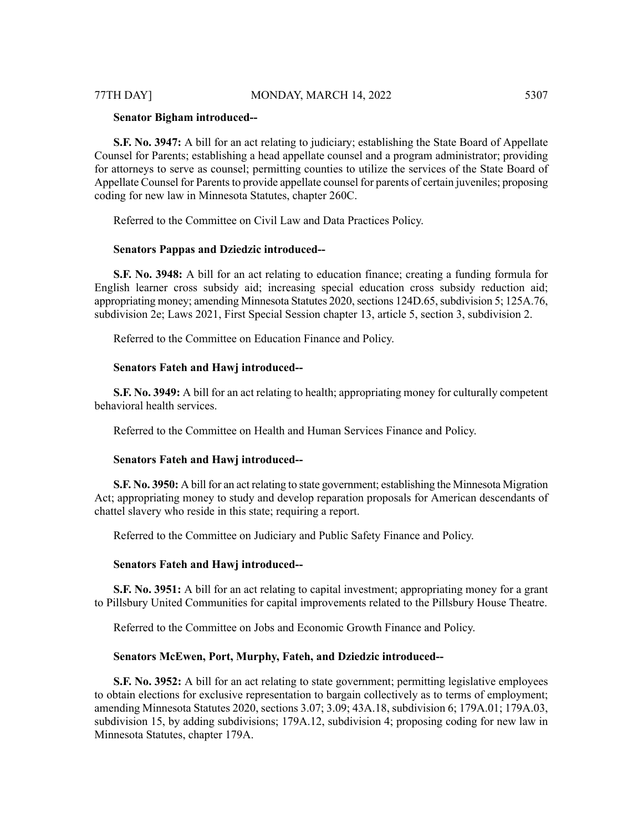#### **Senator Bigham introduced--**

**S.F. No. 3947:** A bill for an act relating to judiciary; establishing the State Board of Appellate Counsel for Parents; establishing a head appellate counsel and a program administrator; providing for attorneys to serve as counsel; permitting counties to utilize the services of the State Board of Appellate Counsel for Parents to provide appellate counsel for parents of certain juveniles; proposing coding for new law in Minnesota Statutes, chapter 260C.

Referred to the Committee on Civil Law and Data Practices Policy.

#### **Senators Pappas and Dziedzic introduced--**

**S.F. No. 3948:** A bill for an act relating to education finance; creating a funding formula for English learner cross subsidy aid; increasing special education cross subsidy reduction aid; appropriating money; amending Minnesota Statutes 2020, sections 124D.65, subdivision 5; 125A.76, subdivision 2e; Laws 2021, First Special Session chapter 13, article 5, section 3, subdivision 2.

Referred to the Committee on Education Finance and Policy.

# **Senators Fateh and Hawj introduced--**

**S.F. No. 3949:** A bill for an act relating to health; appropriating money for culturally competent behavioral health services.

Referred to the Committee on Health and Human Services Finance and Policy.

#### **Senators Fateh and Hawj introduced--**

**S.F. No. 3950:** A bill for an act relating to state government; establishing the Minnesota Migration Act; appropriating money to study and develop reparation proposals for American descendants of chattel slavery who reside in this state; requiring a report.

Referred to the Committee on Judiciary and Public Safety Finance and Policy.

#### **Senators Fateh and Hawj introduced--**

**S.F. No. 3951:** A bill for an act relating to capital investment; appropriating money for a grant to Pillsbury United Communities for capital improvements related to the Pillsbury House Theatre.

Referred to the Committee on Jobs and Economic Growth Finance and Policy.

#### **Senators McEwen, Port, Murphy, Fateh, and Dziedzic introduced--**

**S.F. No. 3952:** A bill for an act relating to state government; permitting legislative employees to obtain elections for exclusive representation to bargain collectively as to terms of employment; amending Minnesota Statutes 2020, sections 3.07; 3.09; 43A.18, subdivision 6; 179A.01; 179A.03, subdivision 15, by adding subdivisions; 179A.12, subdivision 4; proposing coding for new law in Minnesota Statutes, chapter 179A.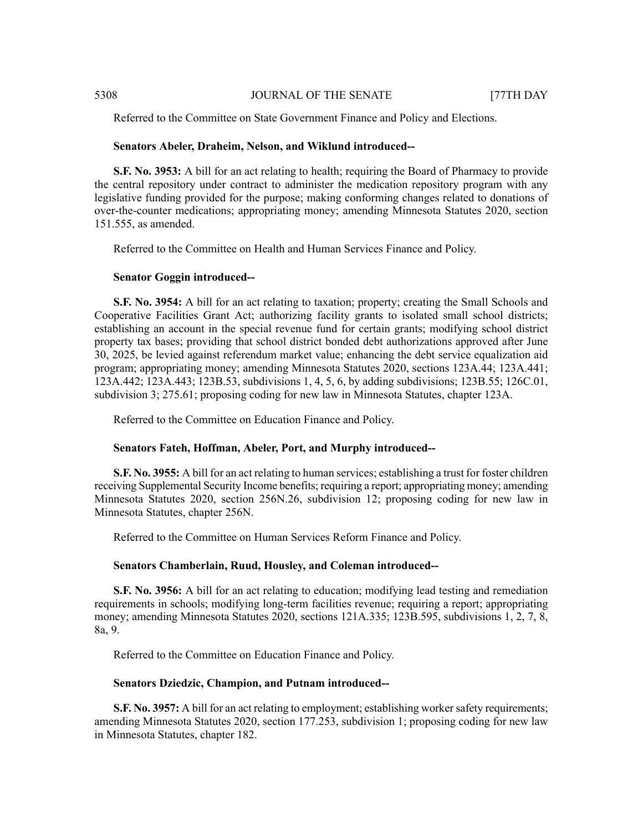Referred to the Committee on State Government Finance and Policy and Elections.

#### **Senators Abeler, Draheim, Nelson, and Wiklund introduced--**

**S.F.** No. 3953: A bill for an act relating to health; requiring the Board of Pharmacy to provide the central repository under contract to administer the medication repository program with any legislative funding provided for the purpose; making conforming changes related to donations of over-the-counter medications; appropriating money; amending Minnesota Statutes 2020, section 151.555, as amended.

Referred to the Committee on Health and Human Services Finance and Policy.

### **Senator Goggin introduced--**

**S.F. No. 3954:** A bill for an act relating to taxation; property; creating the Small Schools and Cooperative Facilities Grant Act; authorizing facility grants to isolated small school districts; establishing an account in the special revenue fund for certain grants; modifying school district property tax bases; providing that school district bonded debt authorizations approved after June 30, 2025, be levied against referendum market value; enhancing the debt service equalization aid program; appropriating money; amending Minnesota Statutes 2020, sections 123A.44; 123A.441; 123A.442; 123A.443; 123B.53, subdivisions 1, 4, 5, 6, by adding subdivisions; 123B.55; 126C.01, subdivision 3; 275.61; proposing coding for new law in Minnesota Statutes, chapter 123A.

Referred to the Committee on Education Finance and Policy.

#### **Senators Fateh, Hoffman, Abeler, Port, and Murphy introduced--**

**S.F. No. 3955:** A bill for an act relating to human services; establishing a trust for foster children receiving Supplemental Security Income benefits; requiring a report; appropriating money; amending Minnesota Statutes 2020, section 256N.26, subdivision 12; proposing coding for new law in Minnesota Statutes, chapter 256N.

Referred to the Committee on Human Services Reform Finance and Policy.

#### **Senators Chamberlain, Ruud, Housley, and Coleman introduced--**

**S.F. No. 3956:** A bill for an act relating to education; modifying lead testing and remediation requirements in schools; modifying long-term facilities revenue; requiring a report; appropriating money; amending Minnesota Statutes 2020, sections 121A.335; 123B.595, subdivisions 1, 2, 7, 8, 8a, 9.

Referred to the Committee on Education Finance and Policy.

#### **Senators Dziedzic, Champion, and Putnam introduced--**

**S.F. No. 3957:** A bill for an act relating to employment; establishing worker safety requirements; amending Minnesota Statutes 2020, section 177.253, subdivision 1; proposing coding for new law in Minnesota Statutes, chapter 182.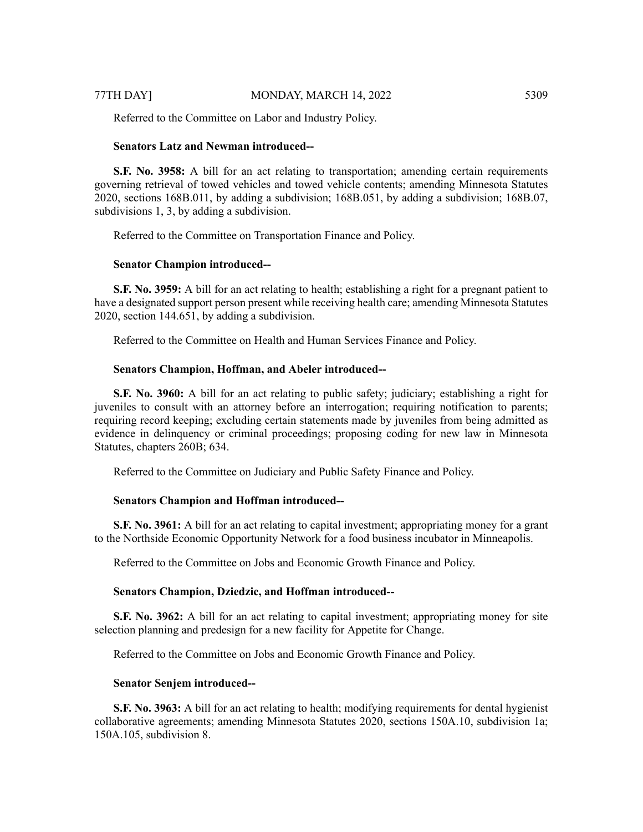Referred to the Committee on Labor and Industry Policy.

#### **Senators Latz and Newman introduced--**

**S.F. No. 3958:** A bill for an act relating to transportation; amending certain requirements governing retrieval of towed vehicles and towed vehicle contents; amending Minnesota Statutes 2020, sections 168B.011, by adding a subdivision; 168B.051, by adding a subdivision; 168B.07, subdivisions 1, 3, by adding a subdivision.

Referred to the Committee on Transportation Finance and Policy.

### **Senator Champion introduced--**

**S.F. No. 3959:** A bill for an act relating to health; establishing a right for a pregnant patient to have a designated support person present while receiving health care; amending Minnesota Statutes 2020, section 144.651, by adding a subdivision.

Referred to the Committee on Health and Human Services Finance and Policy.

#### **Senators Champion, Hoffman, and Abeler introduced--**

**S.F. No. 3960:** A bill for an act relating to public safety; judiciary; establishing a right for juveniles to consult with an attorney before an interrogation; requiring notification to parents; requiring record keeping; excluding certain statements made by juveniles from being admitted as evidence in delinquency or criminal proceedings; proposing coding for new law in Minnesota Statutes, chapters 260B; 634.

Referred to the Committee on Judiciary and Public Safety Finance and Policy.

## **Senators Champion and Hoffman introduced--**

**S.F. No. 3961:** A bill for an act relating to capital investment; appropriating money for a grant to the Northside Economic Opportunity Network for a food business incubator in Minneapolis.

Referred to the Committee on Jobs and Economic Growth Finance and Policy.

#### **Senators Champion, Dziedzic, and Hoffman introduced--**

**S.F. No. 3962:** A bill for an act relating to capital investment; appropriating money for site selection planning and predesign for a new facility for Appetite for Change.

Referred to the Committee on Jobs and Economic Growth Finance and Policy.

#### **Senator Senjem introduced--**

**S.F. No. 3963:** A bill for an act relating to health; modifying requirements for dental hygienist collaborative agreements; amending Minnesota Statutes 2020, sections 150A.10, subdivision 1a; 150A.105, subdivision 8.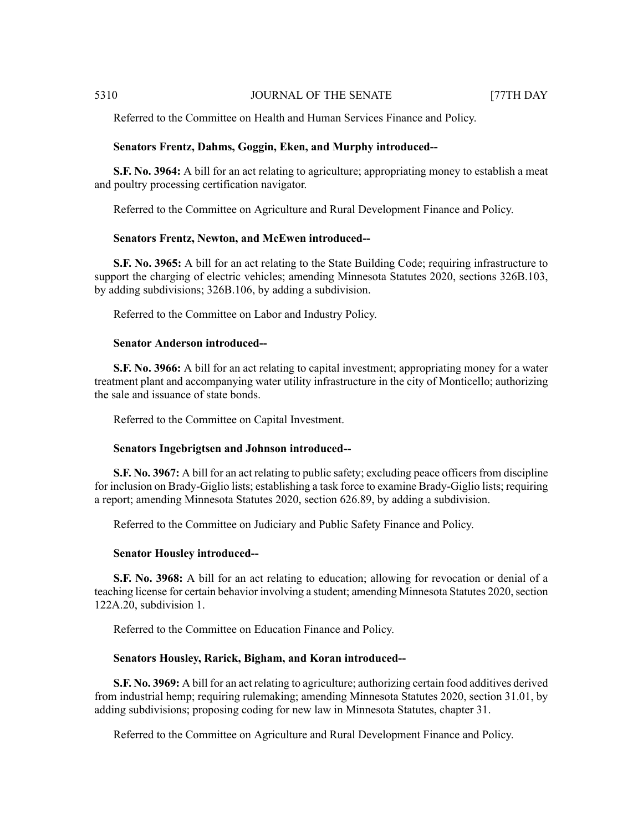Referred to the Committee on Health and Human Services Finance and Policy.

### **Senators Frentz, Dahms, Goggin, Eken, and Murphy introduced--**

**S.F. No. 3964:** A bill for an act relating to agriculture; appropriating money to establish a meat and poultry processing certification navigator.

Referred to the Committee on Agriculture and Rural Development Finance and Policy.

#### **Senators Frentz, Newton, and McEwen introduced--**

**S.F. No. 3965:** A bill for an act relating to the State Building Code; requiring infrastructure to support the charging of electric vehicles; amending Minnesota Statutes 2020, sections 326B.103, by adding subdivisions; 326B.106, by adding a subdivision.

Referred to the Committee on Labor and Industry Policy.

# **Senator Anderson introduced--**

**S.F. No. 3966:** A bill for an act relating to capital investment; appropriating money for a water treatment plant and accompanying water utility infrastructure in the city of Monticello; authorizing the sale and issuance of state bonds.

Referred to the Committee on Capital Investment.

#### **Senators Ingebrigtsen and Johnson introduced--**

**S.F. No. 3967:** A bill for an act relating to public safety; excluding peace officers from discipline for inclusion on Brady-Giglio lists; establishing a task force to examine Brady-Giglio lists; requiring a report; amending Minnesota Statutes 2020, section 626.89, by adding a subdivision.

Referred to the Committee on Judiciary and Public Safety Finance and Policy.

## **Senator Housley introduced--**

**S.F. No. 3968:** A bill for an act relating to education; allowing for revocation or denial of a teaching license for certain behavior involving a student; amending Minnesota Statutes 2020, section 122A.20, subdivision 1.

Referred to the Committee on Education Finance and Policy.

# **Senators Housley, Rarick, Bigham, and Koran introduced--**

**S.F. No. 3969:** A bill for an act relating to agriculture; authorizing certain food additives derived from industrial hemp; requiring rulemaking; amending Minnesota Statutes 2020, section 31.01, by adding subdivisions; proposing coding for new law in Minnesota Statutes, chapter 31.

Referred to the Committee on Agriculture and Rural Development Finance and Policy.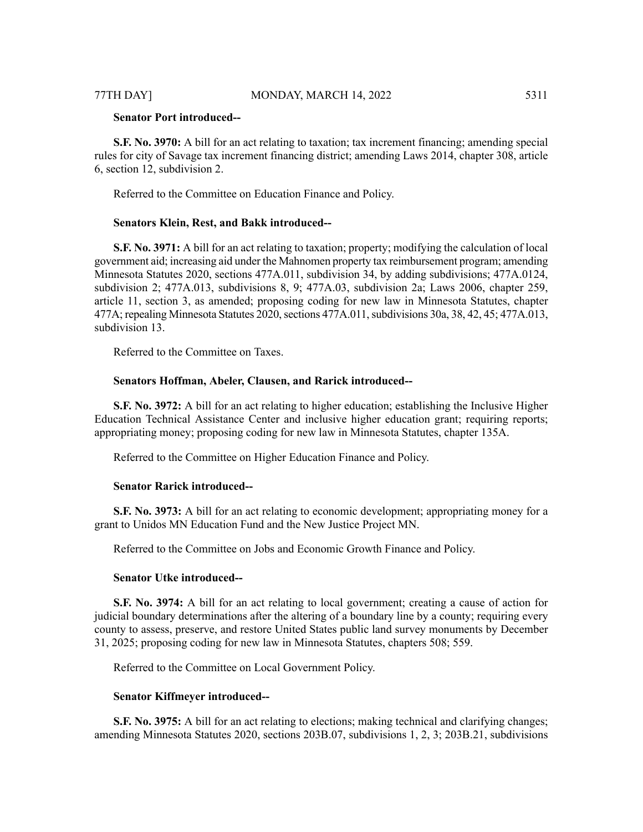**S.F. No. 3970:** A bill for an act relating to taxation; tax increment financing; amending special rules for city of Savage tax increment financing district; amending Laws 2014, chapter 308, article 6, section 12, subdivision 2.

Referred to the Committee on Education Finance and Policy.

### **Senators Klein, Rest, and Bakk introduced--**

**S.F. No. 3971:** A bill for an act relating to taxation; property; modifying the calculation of local government aid; increasing aid under the Mahnomen property tax reimbursement program; amending Minnesota Statutes 2020, sections 477A.011, subdivision 34, by adding subdivisions; 477A.0124, subdivision 2; 477A.013, subdivisions 8, 9; 477A.03, subdivision 2a; Laws 2006, chapter 259, article 11, section 3, as amended; proposing coding for new law in Minnesota Statutes, chapter  $477A$ ; repealing Minnesota Statutes 2020, sections  $477A.011$ , subdivisions 30a, 38, 42, 45;  $477A.013$ , subdivision 13.

Referred to the Committee on Taxes.

# **Senators Hoffman, Abeler, Clausen, and Rarick introduced--**

**S.F. No. 3972:** A bill for an act relating to higher education; establishing the Inclusive Higher Education Technical Assistance Center and inclusive higher education grant; requiring reports; appropriating money; proposing coding for new law in Minnesota Statutes, chapter 135A.

Referred to the Committee on Higher Education Finance and Policy.

# **Senator Rarick introduced--**

**S.F. No. 3973:** A bill for an act relating to economic development; appropriating money for a grant to Unidos MN Education Fund and the New Justice Project MN.

Referred to the Committee on Jobs and Economic Growth Finance and Policy.

# **Senator Utke introduced--**

**S.F. No. 3974:** A bill for an act relating to local government; creating a cause of action for judicial boundary determinations after the altering of a boundary line by a county; requiring every county to assess, preserve, and restore United States public land survey monuments by December 31, 2025; proposing coding for new law in Minnesota Statutes, chapters 508; 559.

Referred to the Committee on Local Government Policy.

#### **Senator Kiffmeyer introduced--**

**S.F. No. 3975:** A bill for an act relating to elections; making technical and clarifying changes; amending Minnesota Statutes 2020, sections 203B.07, subdivisions 1, 2, 3; 203B.21, subdivisions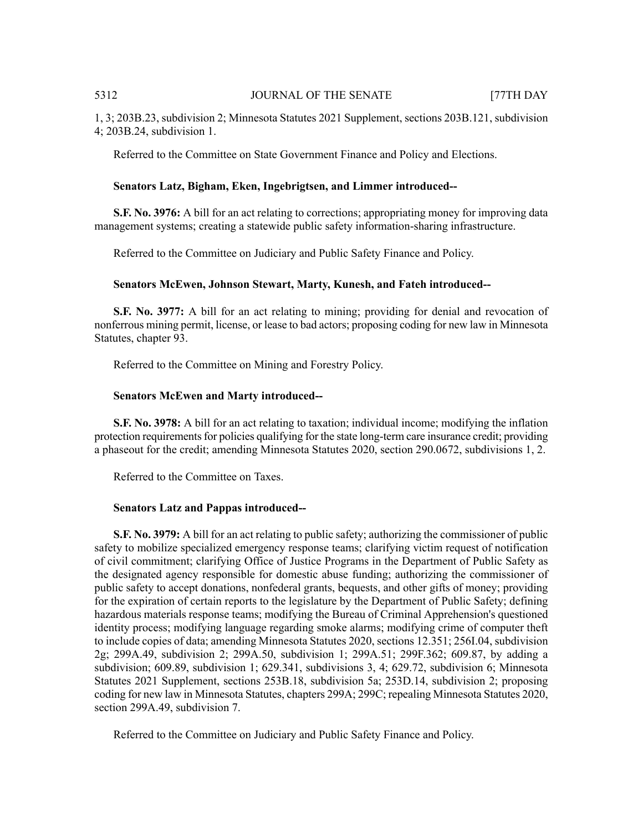1, 3; 203B.23, subdivision 2; Minnesota Statutes 2021 Supplement, sections 203B.121, subdivision 4; 203B.24, subdivision 1.

Referred to the Committee on State Government Finance and Policy and Elections.

### **Senators Latz, Bigham, Eken, Ingebrigtsen, and Limmer introduced--**

**S.F. No. 3976:** A bill for an act relating to corrections; appropriating money for improving data management systems; creating a statewide public safety information-sharing infrastructure.

Referred to the Committee on Judiciary and Public Safety Finance and Policy.

# **Senators McEwen, Johnson Stewart, Marty, Kunesh, and Fateh introduced--**

**S.F. No. 3977:** A bill for an act relating to mining; providing for denial and revocation of nonferrous mining permit, license, or lease to bad actors; proposing coding for new law in Minnesota Statutes, chapter 93.

Referred to the Committee on Mining and Forestry Policy.

#### **Senators McEwen and Marty introduced--**

**S.F. No. 3978:** A bill for an act relating to taxation; individual income; modifying the inflation protection requirements for policies qualifying for the state long-term care insurance credit; providing a phaseout for the credit; amending Minnesota Statutes 2020, section 290.0672, subdivisions 1, 2.

Referred to the Committee on Taxes.

#### **Senators Latz and Pappas introduced--**

**S.F. No. 3979:** A bill for an act relating to public safety; authorizing the commissioner of public safety to mobilize specialized emergency response teams; clarifying victim request of notification of civil commitment; clarifying Office of Justice Programs in the Department of Public Safety as the designated agency responsible for domestic abuse funding; authorizing the commissioner of public safety to accept donations, nonfederal grants, bequests, and other gifts of money; providing for the expiration of certain reports to the legislature by the Department of Public Safety; defining hazardous materials response teams; modifying the Bureau of Criminal Apprehension's questioned identity process; modifying language regarding smoke alarms; modifying crime of computer theft to include copies of data; amending Minnesota Statutes 2020, sections 12.351; 256I.04, subdivision 2g; 299A.49, subdivision 2; 299A.50, subdivision 1; 299A.51; 299F.362; 609.87, by adding a subdivision; 609.89, subdivision 1; 629.341, subdivisions 3, 4; 629.72, subdivision 6; Minnesota Statutes 2021 Supplement, sections 253B.18, subdivision 5a; 253D.14, subdivision 2; proposing coding for new law in Minnesota Statutes, chapters 299A; 299C; repealing Minnesota Statutes 2020, section 299A.49, subdivision 7.

Referred to the Committee on Judiciary and Public Safety Finance and Policy.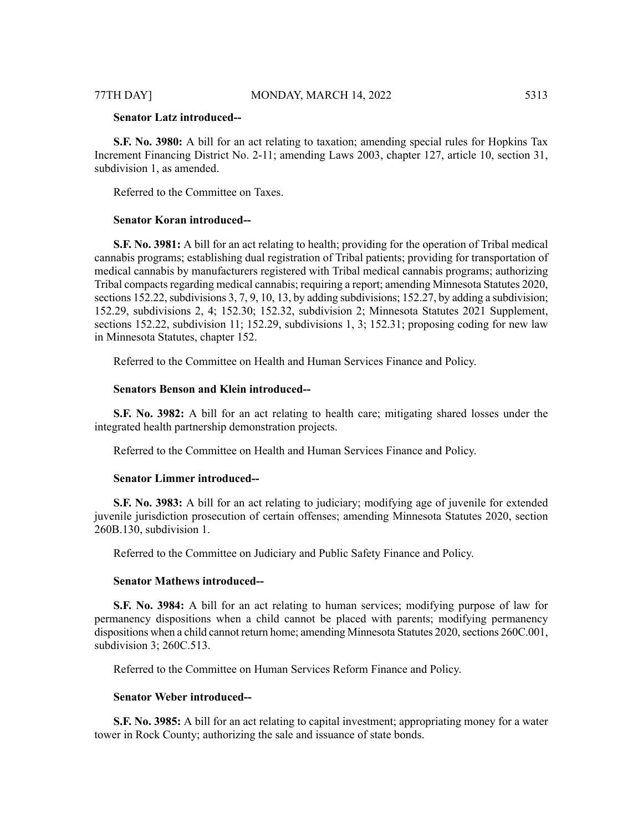# **Senator Latz introduced--**

**S.F. No. 3980:** A bill for an act relating to taxation; amending special rules for Hopkins Tax Increment Financing District No. 2-11; amending Laws 2003, chapter 127, article 10, section 31, subdivision 1, as amended.

Referred to the Committee on Taxes.

# **Senator Koran introduced--**

**S.F. No. 3981:** A bill for an act relating to health; providing for the operation of Tribal medical cannabis programs; establishing dual registration of Tribal patients; providing for transportation of medical cannabis by manufacturers registered with Tribal medical cannabis programs; authorizing Tribal compacts regarding medical cannabis; requiring a report; amending Minnesota Statutes 2020, sections 152.22, subdivisions  $3, 7, 9, 10, 13$ , by adding subdivisions; 152.27, by adding a subdivision; 152.29, subdivisions 2, 4; 152.30; 152.32, subdivision 2; Minnesota Statutes 2021 Supplement, sections 152.22, subdivision 11; 152.29, subdivisions 1, 3; 152.31; proposing coding for new law in Minnesota Statutes, chapter 152.

Referred to the Committee on Health and Human Services Finance and Policy.

# **Senators Benson and Klein introduced--**

**S.F. No. 3982:** A bill for an act relating to health care; mitigating shared losses under the integrated health partnership demonstration projects.

Referred to the Committee on Health and Human Services Finance and Policy.

#### **Senator Limmer introduced--**

**S.F. No. 3983:** A bill for an act relating to judiciary; modifying age of juvenile for extended juvenile jurisdiction prosecution of certain offenses; amending Minnesota Statutes 2020, section 260B.130, subdivision 1.

Referred to the Committee on Judiciary and Public Safety Finance and Policy.

# **Senator Mathews introduced--**

**S.F. No. 3984:** A bill for an act relating to human services; modifying purpose of law for permanency dispositions when a child cannot be placed with parents; modifying permanency dispositions when a child cannot return home; amending Minnesota Statutes 2020, sections 260C.001, subdivision 3; 260C.513.

Referred to the Committee on Human Services Reform Finance and Policy.

# **Senator Weber introduced--**

**S.F. No. 3985:** A bill for an act relating to capital investment; appropriating money for a water tower in Rock County; authorizing the sale and issuance of state bonds.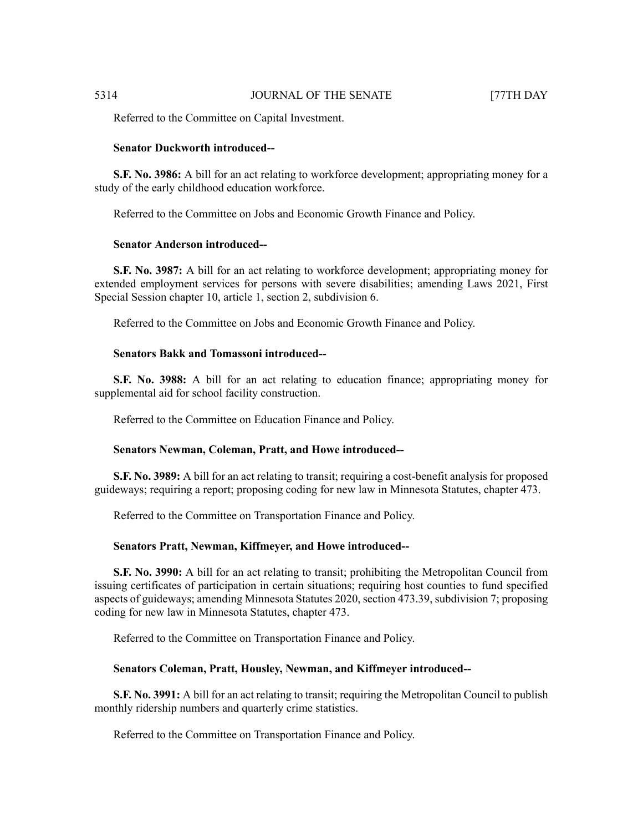Referred to the Committee on Capital Investment.

#### **Senator Duckworth introduced--**

**S.F. No. 3986:** A bill for an act relating to workforce development; appropriating money for a study of the early childhood education workforce.

Referred to the Committee on Jobs and Economic Growth Finance and Policy.

#### **Senator Anderson introduced--**

**S.F. No. 3987:** A bill for an act relating to workforce development; appropriating money for extended employment services for persons with severe disabilities; amending Laws 2021, First Special Session chapter 10, article 1, section 2, subdivision 6.

Referred to the Committee on Jobs and Economic Growth Finance and Policy.

# **Senators Bakk and Tomassoni introduced--**

**S.F. No. 3988:** A bill for an act relating to education finance; appropriating money for supplemental aid for school facility construction.

Referred to the Committee on Education Finance and Policy.

# **Senators Newman, Coleman, Pratt, and Howe introduced--**

**S.F. No. 3989:** A bill for an act relating to transit; requiring a cost-benefit analysis for proposed guideways; requiring a report; proposing coding for new law in Minnesota Statutes, chapter 473.

Referred to the Committee on Transportation Finance and Policy.

#### **Senators Pratt, Newman, Kiffmeyer, and Howe introduced--**

**S.F. No. 3990:** A bill for an act relating to transit; prohibiting the Metropolitan Council from issuing certificates of participation in certain situations; requiring host counties to fund specified aspects of guideways; amending Minnesota Statutes 2020, section 473.39, subdivision 7; proposing coding for new law in Minnesota Statutes, chapter 473.

Referred to the Committee on Transportation Finance and Policy.

#### **Senators Coleman, Pratt, Housley, Newman, and Kiffmeyer introduced--**

**S.F. No. 3991:** A bill for an act relating to transit; requiring the Metropolitan Council to publish monthly ridership numbers and quarterly crime statistics.

Referred to the Committee on Transportation Finance and Policy.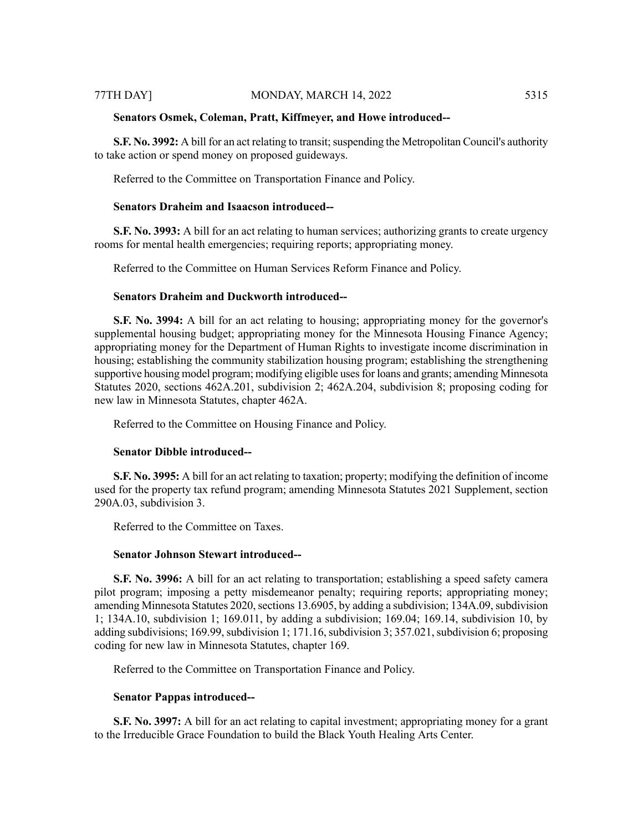#### **Senators Osmek, Coleman, Pratt, Kiffmeyer, and Howe introduced--**

**S.F. No. 3992:** A bill for an act relating to transit; suspending the Metropolitan Council's authority to take action or spend money on proposed guideways.

Referred to the Committee on Transportation Finance and Policy.

# **Senators Draheim and Isaacson introduced--**

**S.F. No. 3993:** A bill for an act relating to human services; authorizing grants to create urgency rooms for mental health emergencies; requiring reports; appropriating money.

Referred to the Committee on Human Services Reform Finance and Policy.

# **Senators Draheim and Duckworth introduced--**

**S.F. No. 3994:** A bill for an act relating to housing; appropriating money for the governor's supplemental housing budget; appropriating money for the Minnesota Housing Finance Agency; appropriating money for the Department of Human Rights to investigate income discrimination in housing; establishing the community stabilization housing program; establishing the strengthening supportive housing model program; modifying eligible usesfor loans and grants; amending Minnesota Statutes 2020, sections 462A.201, subdivision 2; 462A.204, subdivision 8; proposing coding for new law in Minnesota Statutes, chapter 462A.

Referred to the Committee on Housing Finance and Policy.

#### **Senator Dibble introduced--**

**S.F. No. 3995:** A bill for an act relating to taxation; property; modifying the definition of income used for the property tax refund program; amending Minnesota Statutes 2021 Supplement, section 290A.03, subdivision 3.

Referred to the Committee on Taxes.

#### **Senator Johnson Stewart introduced--**

**S.F. No. 3996:** A bill for an act relating to transportation; establishing a speed safety camera pilot program; imposing a petty misdemeanor penalty; requiring reports; appropriating money; amending Minnesota Statutes 2020, sections 13.6905, by adding a subdivision; 134A.09, subdivision 1; 134A.10, subdivision 1; 169.011, by adding a subdivision; 169.04; 169.14, subdivision 10, by adding subdivisions; 169.99, subdivision 1; 171.16, subdivision 3; 357.021, subdivision 6; proposing coding for new law in Minnesota Statutes, chapter 169.

Referred to the Committee on Transportation Finance and Policy.

#### **Senator Pappas introduced--**

**S.F. No. 3997:** A bill for an act relating to capital investment; appropriating money for a grant to the Irreducible Grace Foundation to build the Black Youth Healing Arts Center.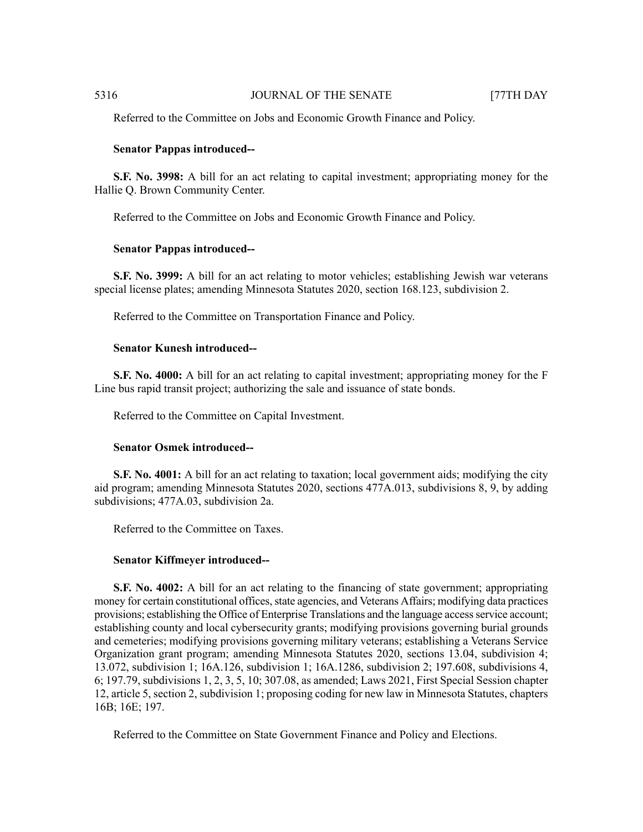Referred to the Committee on Jobs and Economic Growth Finance and Policy.

#### **Senator Pappas introduced--**

**S.F. No. 3998:** A bill for an act relating to capital investment; appropriating money for the Hallie Q. Brown Community Center.

Referred to the Committee on Jobs and Economic Growth Finance and Policy.

### **Senator Pappas introduced--**

**S.F. No. 3999:** A bill for an act relating to motor vehicles; establishing Jewish war veterans special license plates; amending Minnesota Statutes 2020, section 168.123, subdivision 2.

Referred to the Committee on Transportation Finance and Policy.

#### **Senator Kunesh introduced--**

**S.F. No. 4000:** A bill for an act relating to capital investment; appropriating money for the F Line bus rapid transit project; authorizing the sale and issuance of state bonds.

Referred to the Committee on Capital Investment.

# **Senator Osmek introduced--**

**S.F. No. 4001:** A bill for an act relating to taxation; local government aids; modifying the city aid program; amending Minnesota Statutes 2020, sections 477A.013, subdivisions 8, 9, by adding subdivisions; 477A.03, subdivision 2a.

Referred to the Committee on Taxes.

### **Senator Kiffmeyer introduced--**

**S.F. No. 4002:** A bill for an act relating to the financing of state government; appropriating money for certain constitutional offices, state agencies, and Veterans Affairs; modifying data practices provisions; establishing the Office of Enterprise Translations and the language access service account; establishing county and local cybersecurity grants; modifying provisions governing burial grounds and cemeteries; modifying provisions governing military veterans; establishing a Veterans Service Organization grant program; amending Minnesota Statutes 2020, sections 13.04, subdivision 4; 13.072, subdivision 1; 16A.126, subdivision 1; 16A.1286, subdivision 2; 197.608, subdivisions 4, 6; 197.79, subdivisions 1, 2, 3, 5, 10; 307.08, as amended; Laws 2021, First Special Session chapter 12, article 5, section 2, subdivision 1; proposing coding for new law in Minnesota Statutes, chapters 16B; 16E; 197.

Referred to the Committee on State Government Finance and Policy and Elections.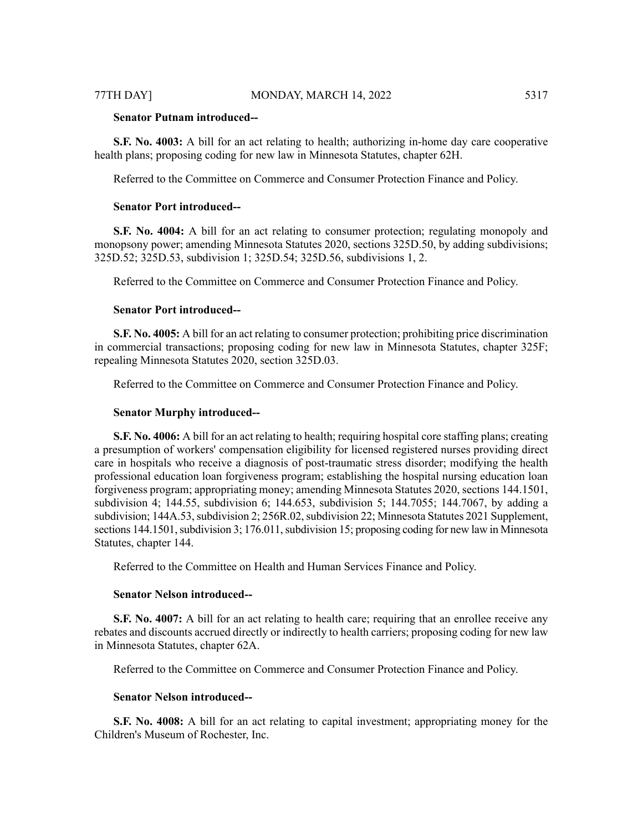# **Senator Putnam introduced--**

**S.F. No. 4003:** A bill for an act relating to health; authorizing in-home day care cooperative health plans; proposing coding for new law in Minnesota Statutes, chapter 62H.

Referred to the Committee on Commerce and Consumer Protection Finance and Policy.

# **Senator Port introduced--**

**S.F. No. 4004:** A bill for an act relating to consumer protection; regulating monopoly and monopsony power; amending Minnesota Statutes 2020, sections 325D.50, by adding subdivisions; 325D.52; 325D.53, subdivision 1; 325D.54; 325D.56, subdivisions 1, 2.

Referred to the Committee on Commerce and Consumer Protection Finance and Policy.

### **Senator Port introduced--**

**S.F. No. 4005:** A bill for an act relating to consumer protection; prohibiting price discrimination in commercial transactions; proposing coding for new law in Minnesota Statutes, chapter 325F; repealing Minnesota Statutes 2020, section 325D.03.

Referred to the Committee on Commerce and Consumer Protection Finance and Policy.

#### **Senator Murphy introduced--**

**S.F. No. 4006:** A bill for an act relating to health; requiring hospital core staffing plans; creating a presumption of workers' compensation eligibility for licensed registered nurses providing direct care in hospitals who receive a diagnosis of post-traumatic stress disorder; modifying the health professional education loan forgiveness program; establishing the hospital nursing education loan forgiveness program; appropriating money; amending Minnesota Statutes 2020, sections 144.1501, subdivision 4; 144.55, subdivision 6; 144.653, subdivision 5; 144.7055; 144.7067, by adding a subdivision; 144A.53, subdivision 2; 256R.02, subdivision 22; Minnesota Statutes 2021 Supplement, sections 144.1501, subdivision 3; 176.011, subdivision 15; proposing coding for new law in Minnesota Statutes, chapter 144.

Referred to the Committee on Health and Human Services Finance and Policy.

#### **Senator Nelson introduced--**

**S.F.** No. 4007: A bill for an act relating to health care; requiring that an enrollee receive any rebates and discounts accrued directly or indirectly to health carriers; proposing coding for new law in Minnesota Statutes, chapter 62A.

Referred to the Committee on Commerce and Consumer Protection Finance and Policy.

# **Senator Nelson introduced--**

**S.F. No. 4008:** A bill for an act relating to capital investment; appropriating money for the Children's Museum of Rochester, Inc.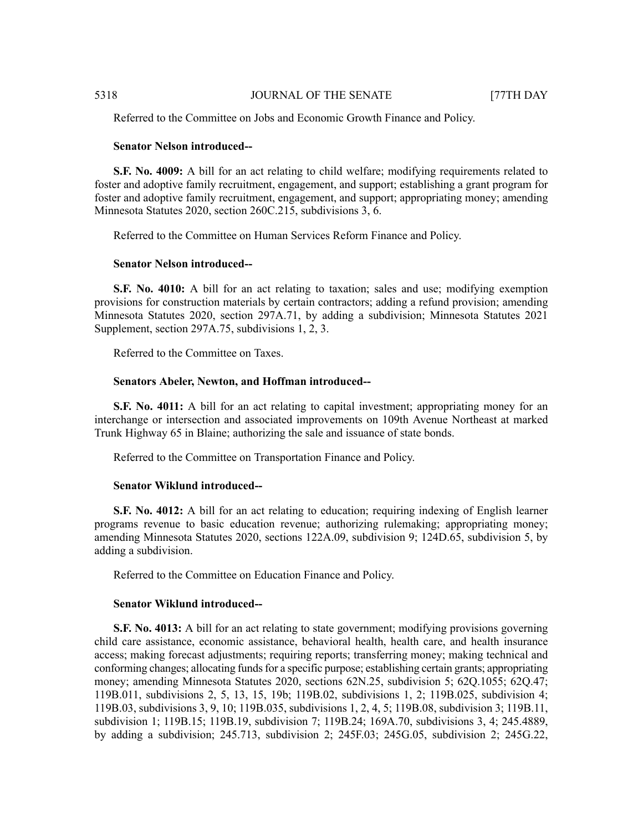Referred to the Committee on Jobs and Economic Growth Finance and Policy.

#### **Senator Nelson introduced--**

**S.F. No. 4009:** A bill for an act relating to child welfare; modifying requirements related to foster and adoptive family recruitment, engagement, and support; establishing a grant program for foster and adoptive family recruitment, engagement, and support; appropriating money; amending Minnesota Statutes 2020, section 260C.215, subdivisions 3, 6.

Referred to the Committee on Human Services Reform Finance and Policy.

#### **Senator Nelson introduced--**

**S.F. No. 4010:** A bill for an act relating to taxation; sales and use; modifying exemption provisions for construction materials by certain contractors; adding a refund provision; amending Minnesota Statutes 2020, section 297A.71, by adding a subdivision; Minnesota Statutes 2021 Supplement, section 297A.75, subdivisions 1, 2, 3.

Referred to the Committee on Taxes.

#### **Senators Abeler, Newton, and Hoffman introduced--**

**S.F. No. 4011:** A bill for an act relating to capital investment; appropriating money for an interchange or intersection and associated improvements on 109th Avenue Northeast at marked Trunk Highway 65 in Blaine; authorizing the sale and issuance of state bonds.

Referred to the Committee on Transportation Finance and Policy.

### **Senator Wiklund introduced--**

**S.F. No. 4012:** A bill for an act relating to education; requiring indexing of English learner programs revenue to basic education revenue; authorizing rulemaking; appropriating money; amending Minnesota Statutes 2020, sections 122A.09, subdivision 9; 124D.65, subdivision 5, by adding a subdivision.

Referred to the Committee on Education Finance and Policy.

# **Senator Wiklund introduced--**

**S.F. No. 4013:** A bill for an act relating to state government; modifying provisions governing child care assistance, economic assistance, behavioral health, health care, and health insurance access; making forecast adjustments; requiring reports; transferring money; making technical and conforming changes; allocating funds for a specific purpose; establishing certain grants; appropriating money; amending Minnesota Statutes 2020, sections 62N.25, subdivision 5; 62Q.1055; 62Q.47; 119B.011, subdivisions 2, 5, 13, 15, 19b; 119B.02, subdivisions 1, 2; 119B.025, subdivision 4; 119B.03, subdivisions 3, 9, 10; 119B.035, subdivisions 1, 2, 4, 5; 119B.08, subdivision 3; 119B.11, subdivision 1; 119B.15; 119B.19, subdivision 7; 119B.24; 169A.70, subdivisions 3, 4; 245.4889, by adding a subdivision; 245.713, subdivision 2; 245F.03; 245G.05, subdivision 2; 245G.22,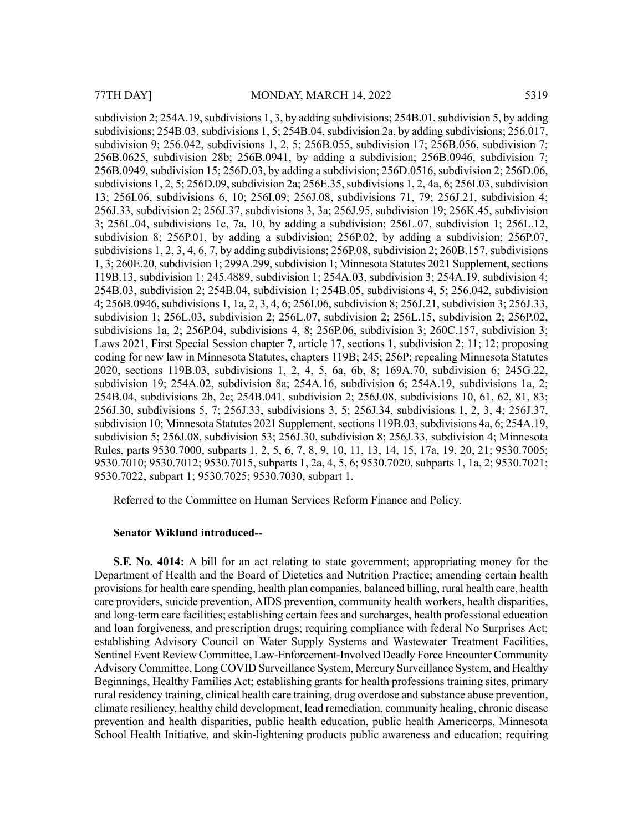subdivision 2;  $254A.19$ , subdivisions 1, 3, by adding subdivisions;  $254B.01$ , subdivision 5, by adding subdivisions;  $254B.03$ , subdivisions 1, 5;  $254B.04$ , subdivision 2a, by adding subdivisions;  $256.017$ , subdivision 9; 256.042, subdivisions 1, 2, 5; 256B.055, subdivision 17; 256B.056, subdivision 7; 256B.0625, subdivision 28b; 256B.0941, by adding a subdivision; 256B.0946, subdivision 7; 256B.0949, subdivision 15; 256D.03, by adding a subdivision; 256D.0516, subdivision 2; 256D.06, subdivisions  $1, 2, 5$ ;  $256D.09$ , subdivision 2a;  $256E.35$ , subdivisions  $1, 2, 4$ a, 6;  $256I.03$ , subdivision 13; 256I.06, subdivisions 6, 10; 256I.09; 256J.08, subdivisions 71, 79; 256J.21, subdivision 4; 256J.33, subdivision 2; 256J.37, subdivisions 3, 3a; 256J.95, subdivision 19; 256K.45, subdivision 3; 256L.04, subdivisions 1c, 7a, 10, by adding a subdivision; 256L.07, subdivision 1; 256L.12, subdivision 8; 256P.01, by adding a subdivision; 256P.02, by adding a subdivision; 256P.07, subdivisions  $1, 2, 3, 4, 6, 7$ , by adding subdivisions;  $256P.08$ , subdivision  $2, 260B.157$ , subdivisions 1, 3; 260E.20, subdivision 1; 299A.299, subdivision 1; Minnesota Statutes 2021 Supplement, sections 119B.13, subdivision 1; 245.4889, subdivision 1; 254A.03, subdivision 3; 254A.19, subdivision 4; 254B.03, subdivision 2; 254B.04, subdivision 1; 254B.05, subdivisions 4, 5; 256.042, subdivision 4; 256B.0946, subdivisions 1, 1a, 2, 3, 4, 6; 256I.06, subdivision 8; 256J.21, subdivision 3; 256J.33, subdivision 1; 256L.03, subdivision 2; 256L.07, subdivision 2; 256L.15, subdivision 2; 256P.02, subdivisions 1a, 2; 256P.04, subdivisions 4, 8; 256P.06, subdivision 3; 260C.157, subdivision 3; Laws 2021, First Special Session chapter 7, article 17, sections 1, subdivision 2; 11; 12; proposing coding for new law in Minnesota Statutes, chapters 119B; 245; 256P; repealing Minnesota Statutes 2020, sections 119B.03, subdivisions 1, 2, 4, 5, 6a, 6b, 8; 169A.70, subdivision 6; 245G.22, subdivision 19; 254A.02, subdivision 8a; 254A.16, subdivision 6; 254A.19, subdivisions 1a, 2; 254B.04, subdivisions 2b, 2c; 254B.041, subdivision 2; 256J.08, subdivisions 10, 61, 62, 81, 83; 256J.30, subdivisions 5, 7; 256J.33, subdivisions 3, 5; 256J.34, subdivisions 1, 2, 3, 4; 256J.37, subdivision 10; Minnesota Statutes 2021 Supplement, sections 119B.03, subdivisions 4a, 6; 254A.19, subdivision 5; 256J.08, subdivision 53; 256J.30, subdivision 8; 256J.33, subdivision 4; Minnesota Rules, parts 9530.7000, subparts 1, 2, 5, 6, 7, 8, 9, 10, 11, 13, 14, 15, 17a, 19, 20, 21; 9530.7005; 9530.7010; 9530.7012; 9530.7015, subparts 1, 2a, 4, 5, 6; 9530.7020, subparts 1, 1a, 2; 9530.7021; 9530.7022, subpart 1; 9530.7025; 9530.7030, subpart 1.

Referred to the Committee on Human Services Reform Finance and Policy.

#### **Senator Wiklund introduced--**

**S.F. No. 4014:** A bill for an act relating to state government; appropriating money for the Department of Health and the Board of Dietetics and Nutrition Practice; amending certain health provisions for health care spending, health plan companies, balanced billing, rural health care, health care providers, suicide prevention, AIDS prevention, community health workers, health disparities, and long-term care facilities; establishing certain fees and surcharges, health professional education and loan forgiveness, and prescription drugs; requiring compliance with federal No Surprises Act; establishing Advisory Council on Water Supply Systems and Wastewater Treatment Facilities, Sentinel Event Review Committee, Law-Enforcement-Involved Deadly Force Encounter Community Advisory Committee, Long COVID Surveillance System, Mercury Surveillance System, and Healthy Beginnings, Healthy Families Act; establishing grants for health professions training sites, primary rural residency training, clinical health care training, drug overdose and substance abuse prevention, climate resiliency, healthy child development, lead remediation, community healing, chronic disease prevention and health disparities, public health education, public health Americorps, Minnesota School Health Initiative, and skin-lightening products public awareness and education; requiring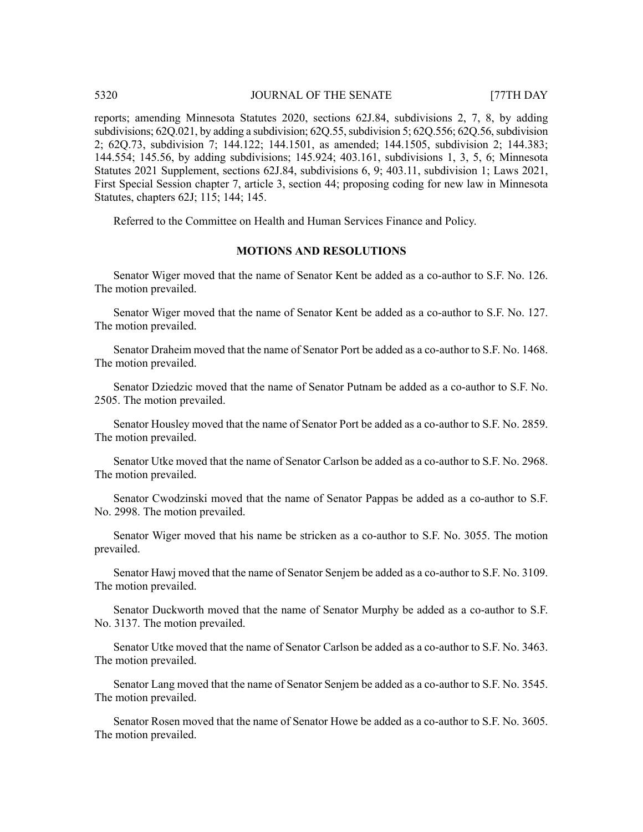reports; amending Minnesota Statutes 2020, sections 62J.84, subdivisions 2, 7, 8, by adding subdivisions;  $62Q.021$ , by adding a subdivision;  $62Q.55$ , subdivision  $5$ ;  $62Q.556$ ;  $62Q.56$ , subdivision 2; 62Q.73, subdivision 7; 144.122; 144.1501, as amended; 144.1505, subdivision 2; 144.383; 144.554; 145.56, by adding subdivisions; 145.924; 403.161, subdivisions 1, 3, 5, 6; Minnesota Statutes 2021 Supplement, sections 62J.84, subdivisions 6, 9; 403.11, subdivision 1; Laws 2021, First Special Session chapter 7, article 3, section 44; proposing coding for new law in Minnesota Statutes, chapters 62J; 115; 144; 145.

Referred to the Committee on Health and Human Services Finance and Policy.

# **MOTIONS AND RESOLUTIONS**

Senator Wiger moved that the name of Senator Kent be added as a co-author to S.F. No. 126. The motion prevailed.

Senator Wiger moved that the name of Senator Kent be added as a co-author to S.F. No. 127. The motion prevailed.

Senator Draheim moved that the name of Senator Port be added as a co-author to S.F. No. 1468. The motion prevailed.

Senator Dziedzic moved that the name of Senator Putnam be added as a co-author to S.F. No. 2505. The motion prevailed.

Senator Housley moved that the name of Senator Port be added as a co-author to S.F. No. 2859. The motion prevailed.

Senator Utke moved that the name of Senator Carlson be added as a co-author to S.F. No. 2968. The motion prevailed.

Senator Cwodzinski moved that the name of Senator Pappas be added as a co-author to S.F. No. 2998. The motion prevailed.

Senator Wiger moved that his name be stricken as a co-author to S.F. No. 3055. The motion prevailed.

Senator Hawj moved that the name of Senator Senjem be added as a co-author to S.F. No. 3109. The motion prevailed.

Senator Duckworth moved that the name of Senator Murphy be added as a co-author to S.F. No. 3137. The motion prevailed.

Senator Utke moved that the name of Senator Carlson be added as a co-author to S.F. No. 3463. The motion prevailed.

Senator Lang moved that the name of Senator Senjem be added as a co-author to S.F. No. 3545. The motion prevailed.

Senator Rosen moved that the name of Senator Howe be added as a co-author to S.F. No. 3605. The motion prevailed.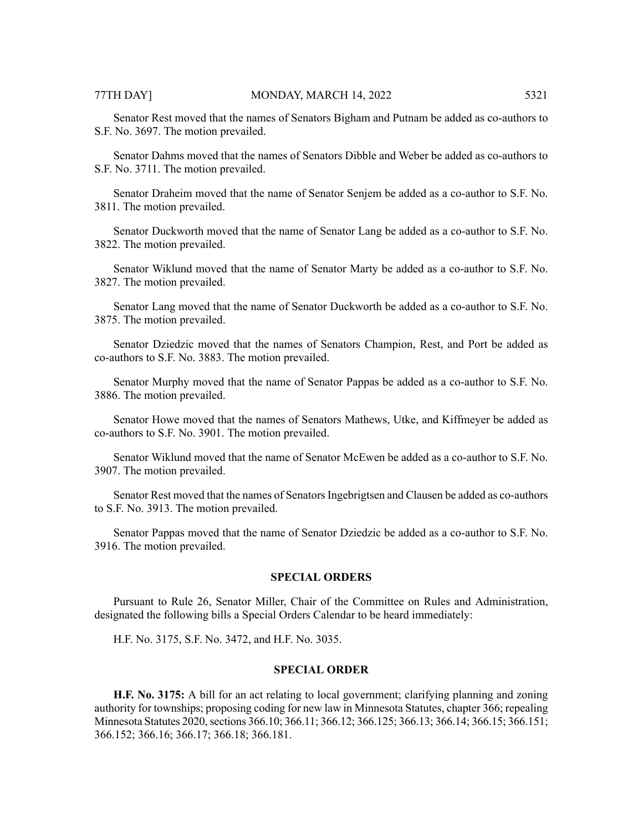Senator Rest moved that the names of Senators Bigham and Putnam be added as co-authors to S.F. No. 3697. The motion prevailed.

Senator Dahms moved that the names of Senators Dibble and Weber be added as co-authors to S.F. No. 3711. The motion prevailed.

Senator Draheim moved that the name of Senator Senjem be added as a co-author to S.F. No. 3811. The motion prevailed.

Senator Duckworth moved that the name of Senator Lang be added as a co-author to S.F. No. 3822. The motion prevailed.

Senator Wiklund moved that the name of Senator Marty be added as a co-author to S.F. No. 3827. The motion prevailed.

Senator Lang moved that the name of Senator Duckworth be added as a co-author to S.F. No. 3875. The motion prevailed.

Senator Dziedzic moved that the names of Senators Champion, Rest, and Port be added as co-authors to S.F. No. 3883. The motion prevailed.

Senator Murphy moved that the name of Senator Pappas be added as a co-author to S.F. No. 3886. The motion prevailed.

Senator Howe moved that the names of Senators Mathews, Utke, and Kiffmeyer be added as co-authors to S.F. No. 3901. The motion prevailed.

Senator Wiklund moved that the name of Senator McEwen be added as a co-author to S.F. No. 3907. The motion prevailed.

Senator Rest moved that the names of Senators Ingebrigtsen and Clausen be added as co-authors to S.F. No. 3913. The motion prevailed.

Senator Pappas moved that the name of Senator Dziedzic be added as a co-author to S.F. No. 3916. The motion prevailed.

#### **SPECIAL ORDERS**

Pursuant to Rule 26, Senator Miller, Chair of the Committee on Rules and Administration, designated the following bills a Special Orders Calendar to be heard immediately:

H.F. No. 3175, S.F. No. 3472, and H.F. No. 3035.

# **SPECIAL ORDER**

**H.F. No. 3175:** A bill for an act relating to local government; clarifying planning and zoning authority for townships; proposing coding for new law in Minnesota Statutes, chapter 366; repealing Minnesota Statutes 2020, sections 366.10; 366.11; 366.12; 366.125; 366.13; 366.14; 366.15; 366.151; 366.152; 366.16; 366.17; 366.18; 366.181.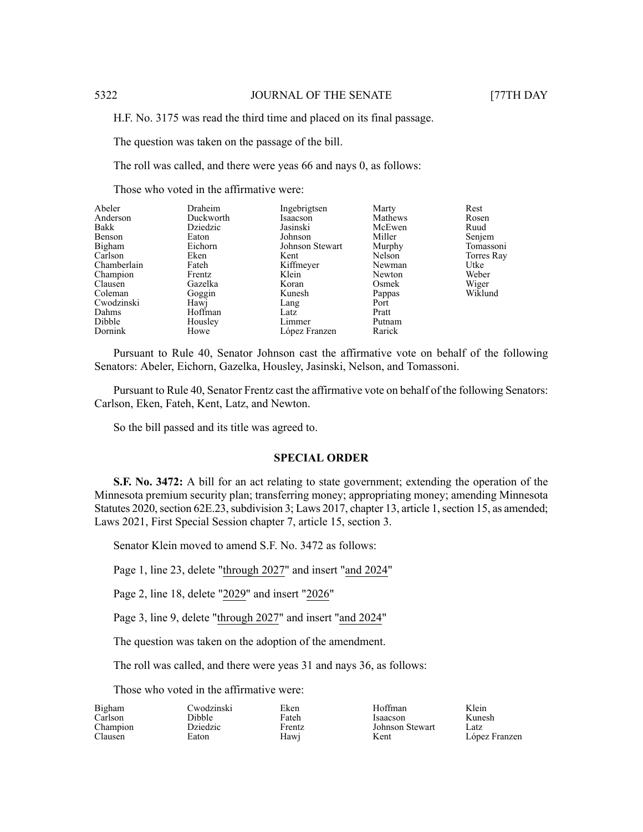H.F. No. 3175 was read the third time and placed on its final passage.

The question was taken on the passage of the bill.

The roll was called, and there were yeas 66 and nays 0, as follows:

Those who voted in the affirmative were:

| Abeler      | Draheim   | Ingebrigtsen    | Marty   | Rest       |
|-------------|-----------|-----------------|---------|------------|
| Anderson    | Duckworth | Isaacson        | Mathews | Rosen      |
| Bakk        | Dziedzic  | Jasinski        | McEwen  | Ruud       |
| Benson      | Eaton     | Johnson         | Miller  | Senjem     |
| Bigham      | Eichorn   | Johnson Stewart | Murphy  | Tomassoni  |
| Carlson     | Eken      | Kent            | Nelson  | Torres Ray |
| Chamberlain | Fateh     | Kiffmeyer       | Newman  | Utke       |
| Champion    | Frentz    | Klein           | Newton  | Weber      |
| Clausen     | Gazelka   | Koran           | Osmek   | Wiger      |
| Coleman     | Goggin    | Kunesh          | Pappas  | Wiklund    |
| Cwodzinski  | Hawj      | Lang            | Port    |            |
| Dahms       | Hoffman   | Latz            | Pratt   |            |
| Dibble      | Housley   | Limmer          | Putnam  |            |
| Dornink     | Howe      | López Franzen   | Rarick  |            |

Pursuant to Rule 40, Senator Johnson cast the affirmative vote on behalf of the following Senators: Abeler, Eichorn, Gazelka, Housley, Jasinski, Nelson, and Tomassoni.

Pursuant to Rule 40, Senator Frentz cast the affirmative vote on behalf of the following Senators: Carlson, Eken, Fateh, Kent, Latz, and Newton.

So the bill passed and its title was agreed to.

### **SPECIAL ORDER**

**S.F. No. 3472:** A bill for an act relating to state government; extending the operation of the Minnesota premium security plan; transferring money; appropriating money; amending Minnesota Statutes 2020, section 62E.23, subdivision 3; Laws 2017, chapter 13, article 1, section 15, as amended; Laws 2021, First Special Session chapter 7, article 15, section 3.

Senator Klein moved to amend S.F. No. 3472 as follows:

Page 1, line 23, delete "through 2027" and insert "and 2024"

Page 2, line 18, delete "2029" and insert "2026"

Page 3, line 9, delete "through 2027" and insert "and 2024"

The question was taken on the adoption of the amendment.

The roll was called, and there were yeas 31 and nays 36, as follows:

Eken Fateh Frentz Hawj

Those who voted in the affirmative were:

| Bigham   |  |
|----------|--|
| Carlson  |  |
| Champion |  |
| Clausen  |  |

Cwodzinski Dibble Dziedzic Eaton

Hoffman Isaacson Johnson Stewart Kent

Klein Kunesh Latz López Franzen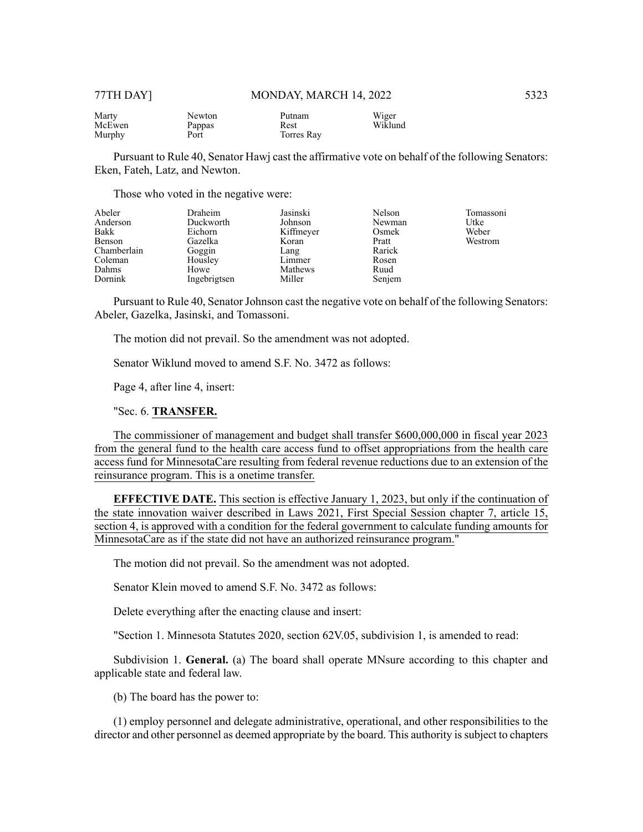| Marty  | Newton | Putnam     | Wiger   |
|--------|--------|------------|---------|
| McEwen | Pappas | Rest       | Wiklund |
| Murphy | Port   | Torres Ray |         |

Pursuant to Rule 40, Senator Hawj cast the affirmative vote on behalf of the following Senators: Eken, Fateh, Latz, and Newton.

Those who voted in the negative were:

| Abeler<br>Anderson<br>Bakk | Draheim<br>Duckworth<br>Eichorn | Jasinski<br>Johnson<br>Kiffmeyer | Nelson<br>Newman<br>Osmek | Tomassoni<br>Utke<br>Weber |
|----------------------------|---------------------------------|----------------------------------|---------------------------|----------------------------|
| Benson                     | Gazelka                         | Koran                            | Pratt                     | Westrom                    |
| Chamberlain                | Goggin                          | Lang                             | Rarick                    |                            |
| Coleman                    | Housley                         | Limmer                           | Rosen                     |                            |
| Dahms                      | Howe                            | Mathews                          | Ruud                      |                            |
| Dornink                    | Ingebrigtsen                    | Miller                           | Senjem                    |                            |

Pursuant to Rule 40, Senator Johnson cast the negative vote on behalf of the following Senators: Abeler, Gazelka, Jasinski, and Tomassoni.

The motion did not prevail. So the amendment was not adopted.

Senator Wiklund moved to amend S.F. No. 3472 as follows:

Page 4, after line 4, insert:

"Sec. 6. **TRANSFER.**

The commissioner of management and budget shall transfer \$600,000,000 in fiscal year 2023 from the general fund to the health care access fund to offset appropriations from the health care access fund for MinnesotaCare resulting from federal revenue reductions due to an extension of the reinsurance program. This is a onetime transfer.

**EFFECTIVE DATE.** This section is effective January 1, 2023, but only if the continuation of the state innovation waiver described in Laws 2021, First Special Session chapter 7, article 15, section 4, is approved with a condition for the federal government to calculate funding amounts for MinnesotaCare as if the state did not have an authorized reinsurance program."

The motion did not prevail. So the amendment was not adopted.

Senator Klein moved to amend S.F. No. 3472 as follows:

Delete everything after the enacting clause and insert:

"Section 1. Minnesota Statutes 2020, section 62V.05, subdivision 1, is amended to read:

Subdivision 1. **General.** (a) The board shall operate MNsure according to this chapter and applicable state and federal law.

(b) The board has the power to:

(1) employ personnel and delegate administrative, operational, and other responsibilities to the director and other personnel as deemed appropriate by the board. This authority is subject to chapters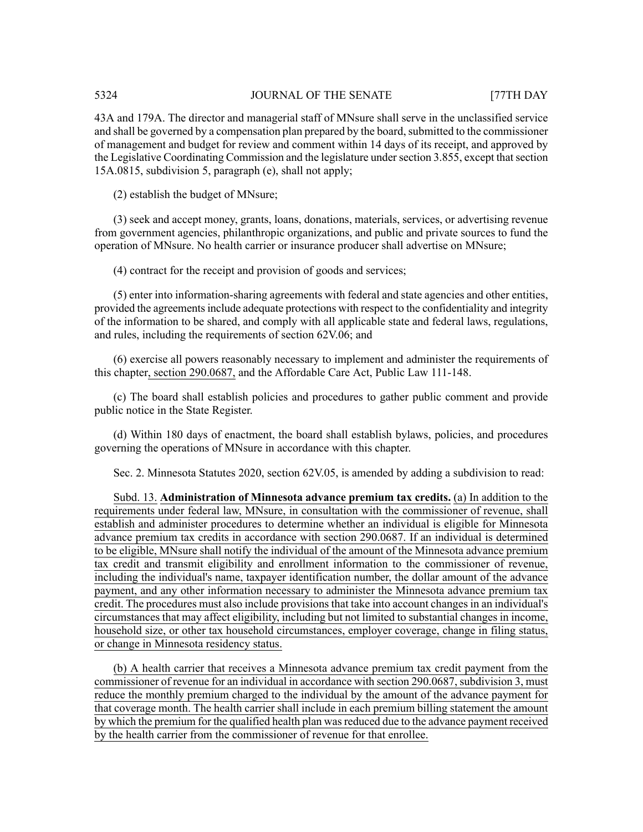43A and 179A. The director and managerial staff of MNsure shall serve in the unclassified service and shall be governed by a compensation plan prepared by the board, submitted to the commissioner of management and budget for review and comment within 14 days of its receipt, and approved by the Legislative Coordinating Commission and the legislature under section 3.855, except that section 15A.0815, subdivision 5, paragraph (e), shall not apply;

(2) establish the budget of MNsure;

(3) seek and accept money, grants, loans, donations, materials, services, or advertising revenue from government agencies, philanthropic organizations, and public and private sources to fund the operation of MNsure. No health carrier or insurance producer shall advertise on MNsure;

(4) contract for the receipt and provision of goods and services;

(5) enter into information-sharing agreements with federal and state agencies and other entities, provided the agreements include adequate protections with respect to the confidentiality and integrity of the information to be shared, and comply with all applicable state and federal laws, regulations, and rules, including the requirements of section 62V.06; and

(6) exercise all powers reasonably necessary to implement and administer the requirements of this chapter, section 290.0687, and the Affordable Care Act, Public Law 111-148.

(c) The board shall establish policies and procedures to gather public comment and provide public notice in the State Register.

(d) Within 180 days of enactment, the board shall establish bylaws, policies, and procedures governing the operations of MNsure in accordance with this chapter.

Sec. 2. Minnesota Statutes 2020, section 62V.05, is amended by adding a subdivision to read:

Subd. 13. **Administration of Minnesota advance premium tax credits.** (a) In addition to the requirements under federal law, MNsure, in consultation with the commissioner of revenue, shall establish and administer procedures to determine whether an individual is eligible for Minnesota advance premium tax credits in accordance with section 290.0687. If an individual is determined to be eligible, MNsure shall notify the individual of the amount of the Minnesota advance premium tax credit and transmit eligibility and enrollment information to the commissioner of revenue, including the individual's name, taxpayer identification number, the dollar amount of the advance payment, and any other information necessary to administer the Minnesota advance premium tax credit. The procedures must also include provisions that take into account changes in an individual's circumstances that may affect eligibility, including but not limited to substantial changes in income, household size, or other tax household circumstances, employer coverage, change in filing status, or change in Minnesota residency status.

(b) A health carrier that receives a Minnesota advance premium tax credit payment from the commissioner of revenue for an individual in accordance with section 290.0687, subdivision 3, must reduce the monthly premium charged to the individual by the amount of the advance payment for that coverage month. The health carrier shall include in each premium billing statement the amount by which the premium for the qualified health plan was reduced due to the advance payment received by the health carrier from the commissioner of revenue for that enrollee.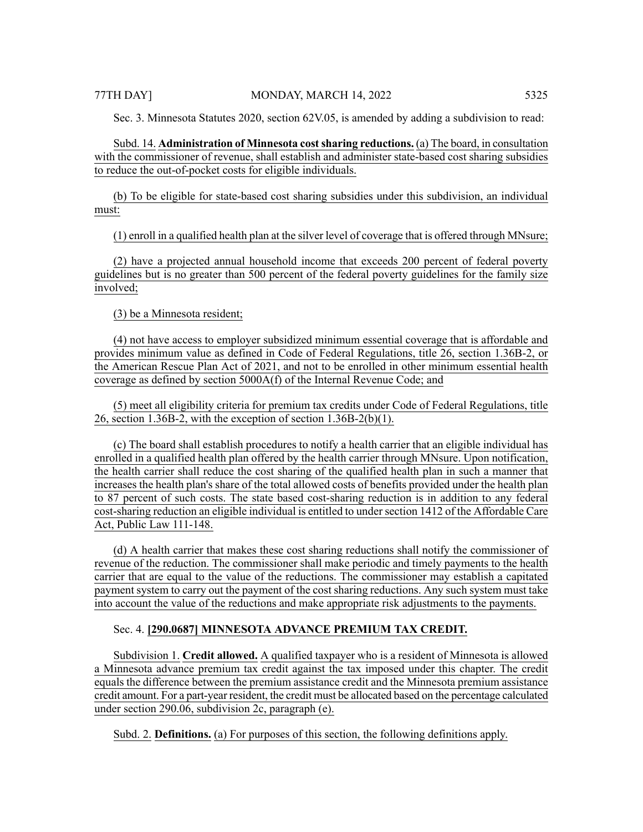Sec. 3. Minnesota Statutes 2020, section 62V.05, is amended by adding a subdivision to read:

Subd. 14. **Administration of Minnesota costsharing reductions.** (a) The board, in consultation with the commissioner of revenue, shall establish and administer state-based cost sharing subsidies to reduce the out-of-pocket costs for eligible individuals.

(b) To be eligible for state-based cost sharing subsidies under this subdivision, an individual must:

(1) enroll in a qualified health plan at the silver level of coverage that is offered through MNsure;

(2) have a projected annual household income that exceeds 200 percent of federal poverty guidelines but is no greater than 500 percent of the federal poverty guidelines for the family size involved;

(3) be a Minnesota resident;

(4) not have access to employer subsidized minimum essential coverage that is affordable and provides minimum value as defined in Code of Federal Regulations, title 26, section 1.36B-2, or the American Rescue Plan Act of 2021, and not to be enrolled in other minimum essential health coverage as defined by section 5000A(f) of the Internal Revenue Code; and

(5) meet all eligibility criteria for premium tax credits under Code of Federal Regulations, title 26, section 1.36B-2, with the exception of section 1.36B-2(b)(1).

(c) The board shall establish procedures to notify a health carrier that an eligible individual has enrolled in a qualified health plan offered by the health carrier through MNsure. Upon notification, the health carrier shall reduce the cost sharing of the qualified health plan in such a manner that increases the health plan's share of the total allowed costs of benefits provided under the health plan to 87 percent of such costs. The state based cost-sharing reduction is in addition to any federal cost-sharing reduction an eligible individual is entitled to under section 1412 of the Affordable Care Act, Public Law 111-148.

(d) A health carrier that makes these cost sharing reductions shall notify the commissioner of revenue of the reduction. The commissioner shall make periodic and timely payments to the health carrier that are equal to the value of the reductions. The commissioner may establish a capitated payment system to carry out the payment of the cost sharing reductions. Any such system must take into account the value of the reductions and make appropriate risk adjustments to the payments.

# Sec. 4. **[290.0687] MINNESOTA ADVANCE PREMIUM TAX CREDIT.**

Subdivision 1. **Credit allowed.** A qualified taxpayer who is a resident of Minnesota is allowed a Minnesota advance premium tax credit against the tax imposed under this chapter. The credit equals the difference between the premium assistance credit and the Minnesota premium assistance credit amount. For a part-year resident, the credit must be allocated based on the percentage calculated under section 290.06, subdivision 2c, paragraph (e).

Subd. 2. **Definitions.** (a) For purposes of this section, the following definitions apply.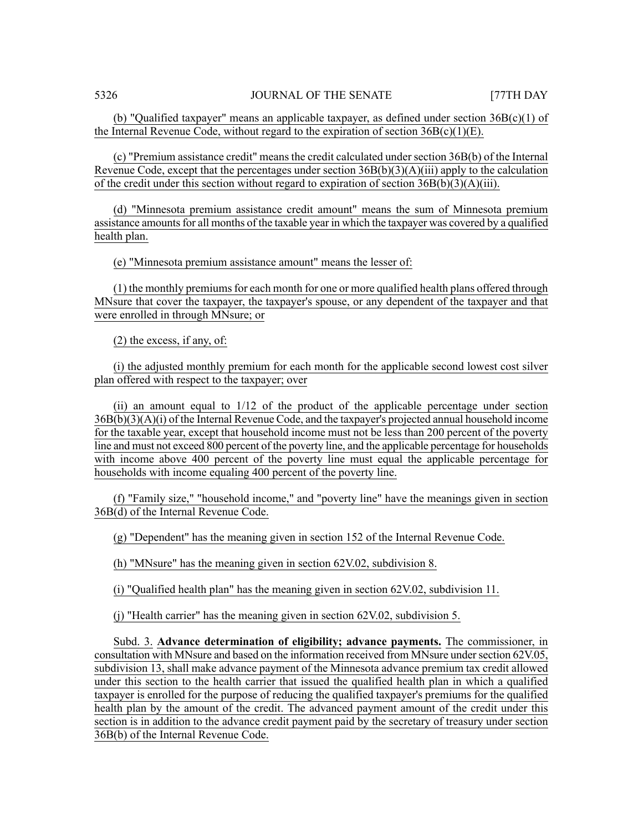(b) "Qualified taxpayer" means an applicable taxpayer, as defined under section  $36B(c)(1)$  of the Internal Revenue Code, without regard to the expiration of section  $36B(c)(1)(E)$ .

(c) "Premium assistance credit" means the credit calculated under section 36B(b) of the Internal Revenue Code, except that the percentages under section  $36B(b)(3)(A)(iii)$  apply to the calculation of the credit under this section without regard to expiration of section  $36B(b)(3)(A)(iii)$ .

(d) "Minnesota premium assistance credit amount" means the sum of Minnesota premium assistance amounts for all months of the taxable year in which the taxpayer was covered by a qualified health plan.

(e) "Minnesota premium assistance amount" means the lesser of:

 $(1)$  the monthly premiums for each month for one or more qualified health plans offered through MNsure that cover the taxpayer, the taxpayer's spouse, or any dependent of the taxpayer and that were enrolled in through MNsure; or

(2) the excess, if any, of:

(i) the adjusted monthly premium for each month for the applicable second lowest cost silver plan offered with respect to the taxpayer; over

(ii) an amount equal to 1/12 of the product of the applicable percentage under section 36B(b)(3)(A)(i) of the Internal Revenue Code, and the taxpayer's projected annual household income for the taxable year, except that household income must not be less than 200 percent of the poverty line and must not exceed 800 percent of the poverty line, and the applicable percentage for households with income above 400 percent of the poverty line must equal the applicable percentage for households with income equaling 400 percent of the poverty line.

(f) "Family size," "household income," and "poverty line" have the meanings given in section 36B(d) of the Internal Revenue Code.

(g) "Dependent" has the meaning given in section 152 of the Internal Revenue Code.

(h) "MNsure" has the meaning given in section 62V.02, subdivision 8.

(i) "Qualified health plan" has the meaning given in section 62V.02, subdivision 11.

(j) "Health carrier" has the meaning given in section 62V.02, subdivision 5.

Subd. 3. **Advance determination of eligibility; advance payments.** The commissioner, in consultation with MNsure and based on the information received from MNsure under section 62V.05, subdivision 13, shall make advance payment of the Minnesota advance premium tax credit allowed under this section to the health carrier that issued the qualified health plan in which a qualified taxpayer is enrolled for the purpose of reducing the qualified taxpayer's premiums for the qualified health plan by the amount of the credit. The advanced payment amount of the credit under this section is in addition to the advance credit payment paid by the secretary of treasury under section 36B(b) of the Internal Revenue Code.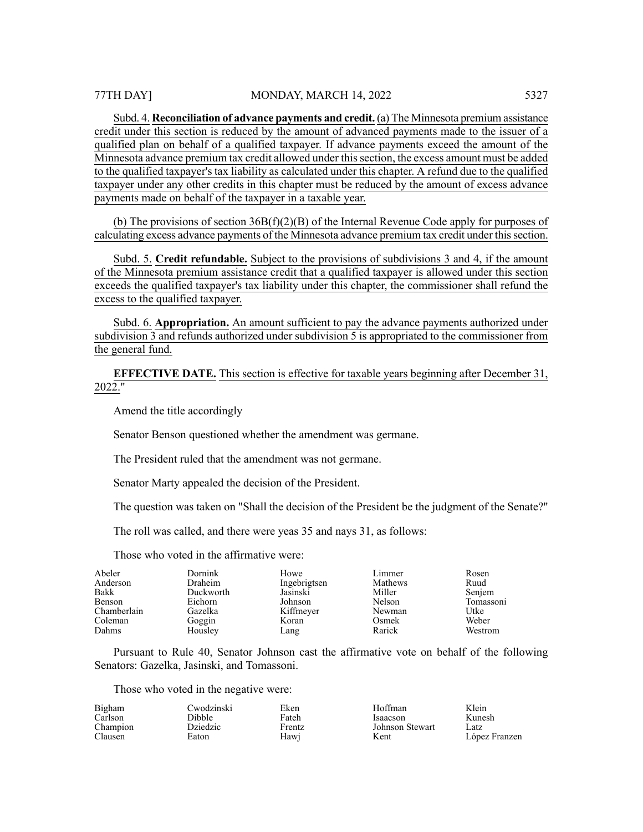Subd. 4. **Reconciliation of advance payments and credit.** (a) The Minnesota premium assistance credit under this section is reduced by the amount of advanced payments made to the issuer of a qualified plan on behalf of a qualified taxpayer. If advance payments exceed the amount of the Minnesota advance premium tax credit allowed under thissection, the excess amount must be added to the qualified taxpayer's tax liability as calculated under this chapter. A refund due to the qualified taxpayer under any other credits in this chapter must be reduced by the amount of excess advance payments made on behalf of the taxpayer in a taxable year.

(b) The provisions of section 36B(f)(2)(B) of the Internal Revenue Code apply for purposes of calculating excess advance payments of the Minnesota advance premium tax credit under thissection.

Subd. 5. **Credit refundable.** Subject to the provisions of subdivisions 3 and 4, if the amount of the Minnesota premium assistance credit that a qualified taxpayer is allowed under this section exceeds the qualified taxpayer's tax liability under this chapter, the commissioner shall refund the excess to the qualified taxpayer.

Subd. 6. **Appropriation.** An amount sufficient to pay the advance payments authorized under subdivision 3 and refunds authorized under subdivision 5 is appropriated to the commissioner from the general fund.

**EFFECTIVE DATE.** This section is effective for taxable years beginning after December 31, 2022."

Amend the title accordingly

Senator Benson questioned whether the amendment was germane.

The President ruled that the amendment was not germane.

Senator Marty appealed the decision of the President.

The question was taken on "Shall the decision of the President be the judgment of the Senate?"

The roll was called, and there were yeas 35 and nays 31, as follows:

Those who voted in the affirmative were:

| Abeler      | Dornink   | Howe         | Limmer  | Rosen     |
|-------------|-----------|--------------|---------|-----------|
| Anderson    | Draheim   | Ingebrigtsen | Mathews | Ruud      |
| Bakk        | Duckworth | Jasinski     | Miller  | Senjem    |
| Benson      | Eichorn   | Johnson      | Nelson  | Tomassoni |
| Chamberlain | Gazelka   | Kiffmeyer    | Newman  | Utke      |
| Coleman     | Goggin    | Koran        | Osmek   | Weber     |
| Dahms       | Housley   | Lang         | Rarick  | Westrom   |

Pursuant to Rule 40, Senator Johnson cast the affirmative vote on behalf of the following Senators: Gazelka, Jasinski, and Tomassoni.

Those who voted in the negative were:

| Bigham   | Cwodzinski      | Eken   | Hoffman         | Klein         |
|----------|-----------------|--------|-----------------|---------------|
| Carlson  | Dibble          | Fateh  | Isaacson        | Kunesh        |
| Champion | <b>Dziedzic</b> | Frentz | Johnson Stewart | Latz          |
| Clausen  | Eaton           | Hawi   | Kent            | López Franzen |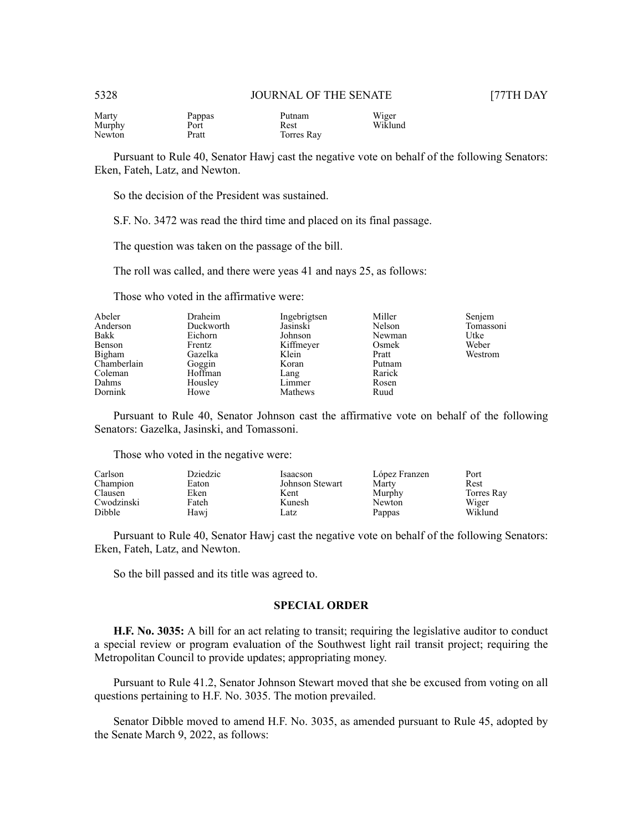| Marty  | Pappas | Putnam     | Wiger   |
|--------|--------|------------|---------|
| Murphy | Port   | Rest       | Wiklund |
| Newton | Pratt  | Torres Ray |         |

Pursuant to Rule 40, Senator Hawj cast the negative vote on behalf of the following Senators: Eken, Fateh, Latz, and Newton.

So the decision of the President was sustained.

S.F. No. 3472 was read the third time and placed on its final passage.

The question was taken on the passage of the bill.

The roll was called, and there were yeas 41 and nays 25, as follows:

Those who voted in the affirmative were:

| Draheim | Ingebrigtsen        | Miller                | Senjem                             |
|---------|---------------------|-----------------------|------------------------------------|
|         |                     |                       | Tomassoni                          |
| Eichorn | Johnson             | Newman                | Utke                               |
| Frentz  |                     |                       | Weber                              |
| Gazelka | Klein               | Pratt                 | Westrom                            |
|         | Koran               | Putnam                |                                    |
| Hoffman | Lang                |                       |                                    |
| Housley | Limmer              |                       |                                    |
| Howe    | Mathews             | Ruud                  |                                    |
|         | Duckworth<br>Goggin | Jasinski<br>Kiffmeyer | Nelson<br>Osmek<br>Rarick<br>Rosen |

Pursuant to Rule 40, Senator Johnson cast the affirmative vote on behalf of the following Senators: Gazelka, Jasinski, and Tomassoni.

Those who voted in the negative were:

| Carlson    | Dziedzic | Isaacson        | López Franzen | Port       |
|------------|----------|-----------------|---------------|------------|
| Champion   | Eaton    | Johnson Stewart | Marty         | Rest       |
| Clausen    | Eken     | Kent            | Murphy        | Torres Ray |
| Cwodzinski | Fateh    | Kunesh          | Newton        | Wiger      |
| Dibble     | Hawi     | Latz            | Pappas        | Wiklund    |

Pursuant to Rule 40, Senator Hawj cast the negative vote on behalf of the following Senators: Eken, Fateh, Latz, and Newton.

So the bill passed and its title was agreed to.

#### **SPECIAL ORDER**

**H.F. No. 3035:** A bill for an act relating to transit; requiring the legislative auditor to conduct a special review or program evaluation of the Southwest light rail transit project; requiring the Metropolitan Council to provide updates; appropriating money.

Pursuant to Rule 41.2, Senator Johnson Stewart moved that she be excused from voting on all questions pertaining to H.F. No. 3035. The motion prevailed.

Senator Dibble moved to amend H.F. No. 3035, as amended pursuant to Rule 45, adopted by the Senate March 9, 2022, as follows: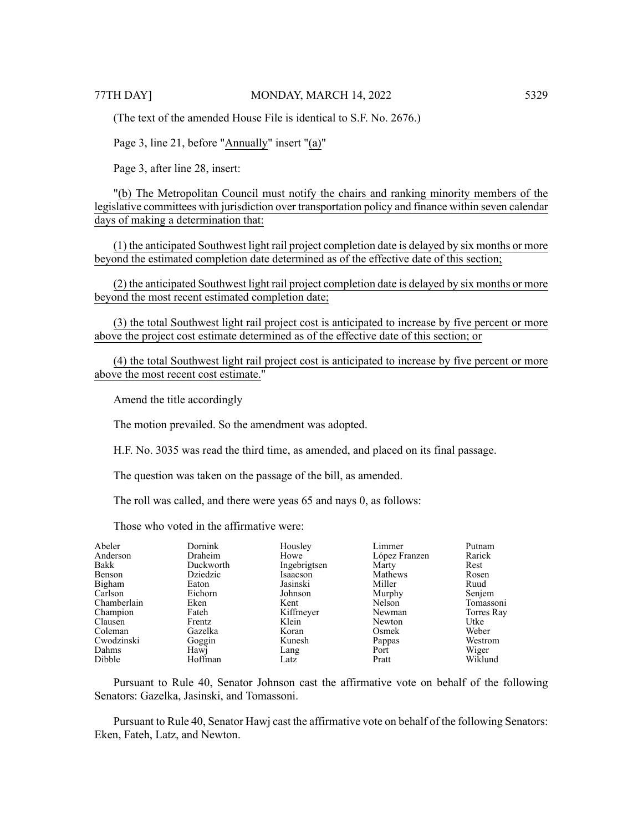(The text of the amended House File is identical to S.F. No. 2676.)

Page 3, line 21, before "Annually" insert "(a)"

Page 3, after line 28, insert:

"(b) The Metropolitan Council must notify the chairs and ranking minority members of the legislative committees with jurisdiction over transportation policy and finance within seven calendar days of making a determination that:

(1) the anticipated Southwest light rail project completion date is delayed by six months or more beyond the estimated completion date determined as of the effective date of this section;

(2) the anticipated Southwest light rail project completion date is delayed by six months or more beyond the most recent estimated completion date;

(3) the total Southwest light rail project cost is anticipated to increase by five percent or more above the project cost estimate determined as of the effective date of this section; or

(4) the total Southwest light rail project cost is anticipated to increase by five percent or more above the most recent cost estimate."

Amend the title accordingly

The motion prevailed. So the amendment was adopted.

H.F. No. 3035 was read the third time, as amended, and placed on its final passage.

The question was taken on the passage of the bill, as amended.

The roll was called, and there were yeas 65 and nays 0, as follows:

Those who voted in the affirmative were:

| Abeler      | Dornink   | Housley      | Limmer        | Putnam     |
|-------------|-----------|--------------|---------------|------------|
| Anderson    | Draheim   | Howe         | López Franzen | Rarick     |
| Bakk        | Duckworth | Ingebrigtsen | Marty         | Rest       |
| Benson      | Dziedzic  | Isaacson     | Mathews       | Rosen      |
| Bigham      | Eaton     | Jasinski     | Miller        | Ruud       |
| Carlson     | Eichorn   | Johnson      | Murphy        | Senjem     |
| Chamberlain | Eken      | Kent         | Nelson        | Tomassoni  |
| Champion    | Fateh     | Kiffmeyer    | Newman        | Torres Ray |
| Clausen     | Frentz    | Klein        | Newton        | Utke       |
| Coleman     | Gazelka   | Koran        | Osmek         | Weber      |
| Cwodzinski  | Goggin    | Kunesh       | Pappas        | Westrom    |
| Dahms       | Hawj      | Lang         | Port          | Wiger      |
| Dibble      | Hoffman   | Latz         | Pratt         | Wiklund    |

Pursuant to Rule 40, Senator Johnson cast the affirmative vote on behalf of the following Senators: Gazelka, Jasinski, and Tomassoni.

Pursuant to Rule 40, Senator Hawj cast the affirmative vote on behalf of the following Senators: Eken, Fateh, Latz, and Newton.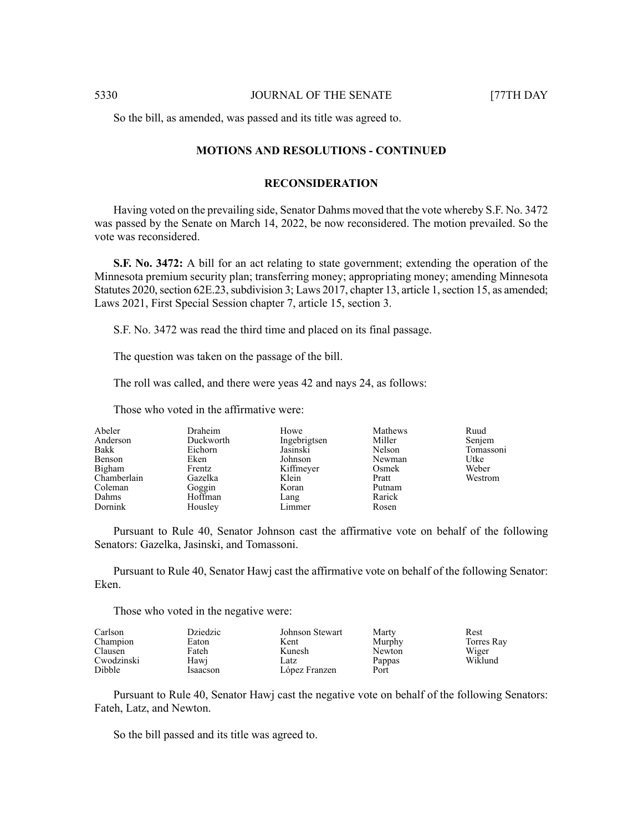So the bill, as amended, was passed and its title was agreed to.

# **MOTIONS AND RESOLUTIONS - CONTINUED**

#### **RECONSIDERATION**

Having voted on the prevailing side, Senator Dahms moved that the vote whereby S.F. No. 3472 was passed by the Senate on March 14, 2022, be now reconsidered. The motion prevailed. So the vote was reconsidered.

**S.F. No. 3472:** A bill for an act relating to state government; extending the operation of the Minnesota premium security plan; transferring money; appropriating money; amending Minnesota Statutes 2020, section 62E.23, subdivision 3; Laws 2017, chapter 13, article 1, section 15, as amended; Laws 2021, First Special Session chapter 7, article 15, section 3.

S.F. No. 3472 was read the third time and placed on its final passage.

The question was taken on the passage of the bill.

The roll was called, and there were yeas 42 and nays 24, as follows:

Those who voted in the affirmative were:

| Abeler      | Draheim   | Howe         | Mathews | Ruud      |
|-------------|-----------|--------------|---------|-----------|
| Anderson    | Duckworth | Ingebrigtsen | Miller  | Senjem    |
| Bakk        | Eichorn   | Jasinski     | Nelson  | Tomassoni |
| Benson      | Eken      | Johnson      | Newman  | Utke      |
| Bigham      | Frentz    | Kiffmeyer    | Osmek   | Weber     |
| Chamberlain | Gazelka   | Klein        | Pratt   | Westrom   |
| Coleman     | Goggin    | Koran        | Putnam  |           |
| Dahms       | Hoffman   | Lang         | Rarick  |           |
| Dornink     | Housley   | Limmer       | Rosen   |           |

Pursuant to Rule 40, Senator Johnson cast the affirmative vote on behalf of the following Senators: Gazelka, Jasinski, and Tomassoni.

Pursuant to Rule 40, Senator Hawj cast the affirmative vote on behalf of the following Senator: Eken.

Those who voted in the negative were:

| Carlson    | Dziedzic | Johnson Stewart | Marty  | Rest       |
|------------|----------|-----------------|--------|------------|
| Champion   | Eaton    | Kent            | Murphy | Torres Ray |
| Clausen    | Fateh    | Kunesh          | Newton | Wiger      |
| Cwodzinski | Hawi     | Latz            | Pappas | Wiklund    |
| Dibble     | Isaacson | López Franzen   | Port   |            |

Pursuant to Rule 40, Senator Hawj cast the negative vote on behalf of the following Senators: Fateh, Latz, and Newton.

So the bill passed and its title was agreed to.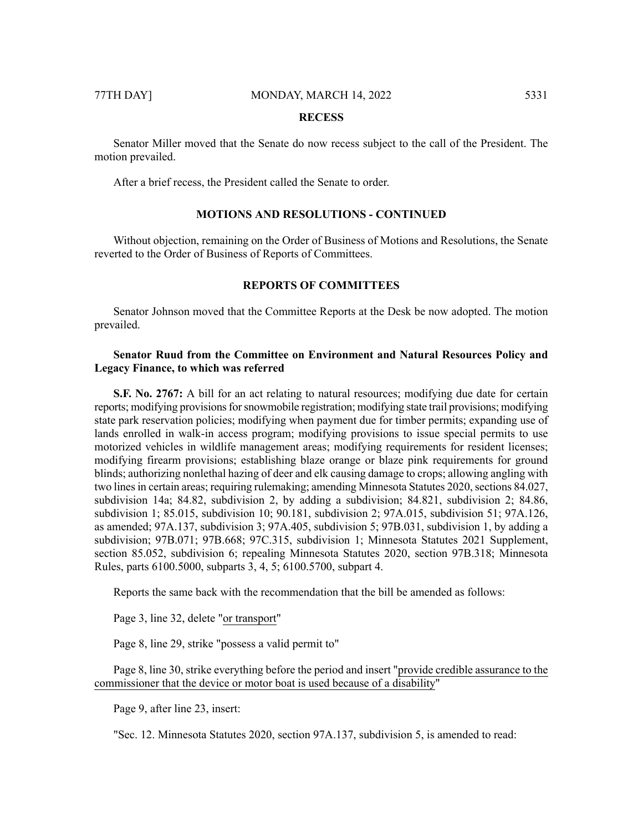#### **RECESS**

Senator Miller moved that the Senate do now recess subject to the call of the President. The motion prevailed.

After a brief recess, the President called the Senate to order.

# **MOTIONS AND RESOLUTIONS - CONTINUED**

Without objection, remaining on the Order of Business of Motions and Resolutions, the Senate reverted to the Order of Business of Reports of Committees.

# **REPORTS OF COMMITTEES**

Senator Johnson moved that the Committee Reports at the Desk be now adopted. The motion prevailed.

# **Senator Ruud from the Committee on Environment and Natural Resources Policy and Legacy Finance, to which was referred**

**S.F. No. 2767:** A bill for an act relating to natural resources; modifying due date for certain reports; modifying provisions for snowmobile registration; modifying state trail provisions; modifying state park reservation policies; modifying when payment due for timber permits; expanding use of lands enrolled in walk-in access program; modifying provisions to issue special permits to use motorized vehicles in wildlife management areas; modifying requirements for resident licenses; modifying firearm provisions; establishing blaze orange or blaze pink requirements for ground blinds; authorizing nonlethal hazing of deer and elk causing damage to crops; allowing angling with two lines in certain areas; requiring rulemaking; amending Minnesota Statutes 2020, sections 84.027, subdivision 14a; 84.82, subdivision 2, by adding a subdivision; 84.821, subdivision 2; 84.86, subdivision 1; 85.015, subdivision 10; 90.181, subdivision 2; 97A.015, subdivision 51; 97A.126, as amended; 97A.137, subdivision 3; 97A.405, subdivision 5; 97B.031, subdivision 1, by adding a subdivision; 97B.071; 97B.668; 97C.315, subdivision 1; Minnesota Statutes 2021 Supplement, section 85.052, subdivision 6; repealing Minnesota Statutes 2020, section 97B.318; Minnesota Rules, parts 6100.5000, subparts 3, 4, 5; 6100.5700, subpart 4.

Reports the same back with the recommendation that the bill be amended as follows:

Page 3, line 32, delete "or transport"

Page 8, line 29, strike "possess a valid permit to"

Page 8, line 30, strike everything before the period and insert "provide credible assurance to the commissioner that the device or motor boat is used because of a disability"

Page 9, after line 23, insert:

"Sec. 12. Minnesota Statutes 2020, section 97A.137, subdivision 5, is amended to read: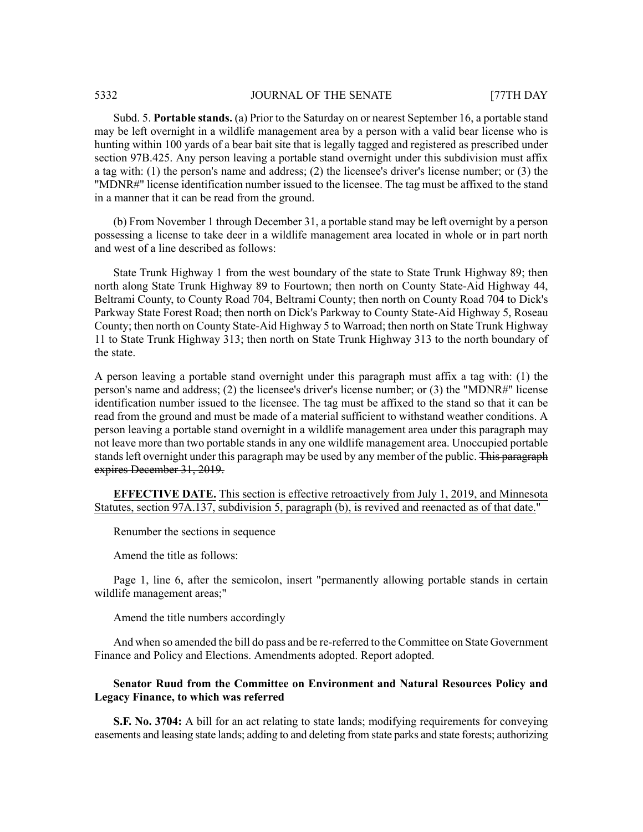Subd. 5. **Portable stands.** (a) Prior to the Saturday on or nearest September 16, a portable stand may be left overnight in a wildlife management area by a person with a valid bear license who is hunting within 100 yards of a bear bait site that is legally tagged and registered as prescribed under section 97B.425. Any person leaving a portable stand overnight under this subdivision must affix a tag with: (1) the person's name and address; (2) the licensee's driver's license number; or (3) the "MDNR#" license identification number issued to the licensee. The tag must be affixed to the stand in a manner that it can be read from the ground.

(b) From November 1 through December 31, a portable stand may be left overnight by a person possessing a license to take deer in a wildlife management area located in whole or in part north and west of a line described as follows:

State Trunk Highway 1 from the west boundary of the state to State Trunk Highway 89; then north along State Trunk Highway 89 to Fourtown; then north on County State-Aid Highway 44, Beltrami County, to County Road 704, Beltrami County; then north on County Road 704 to Dick's Parkway State Forest Road; then north on Dick's Parkway to County State-Aid Highway 5, Roseau County; then north on County State-Aid Highway 5 to Warroad; then north on State Trunk Highway 11 to State Trunk Highway 313; then north on State Trunk Highway 313 to the north boundary of the state.

A person leaving a portable stand overnight under this paragraph must affix a tag with: (1) the person's name and address; (2) the licensee's driver's license number; or (3) the "MDNR#" license identification number issued to the licensee. The tag must be affixed to the stand so that it can be read from the ground and must be made of a material sufficient to withstand weather conditions. A person leaving a portable stand overnight in a wildlife management area under this paragraph may not leave more than two portable stands in any one wildlife management area. Unoccupied portable stands left overnight under this paragraph may be used by any member of the public. This paragraph expires December 31, 2019.

# **EFFECTIVE DATE.** This section is effective retroactively from July 1, 2019, and Minnesota Statutes, section 97A.137, subdivision 5, paragraph (b), is revived and reenacted as of that date."

Renumber the sections in sequence

Amend the title as follows:

Page 1, line 6, after the semicolon, insert "permanently allowing portable stands in certain wildlife management areas;"

Amend the title numbers accordingly

And when so amended the bill do pass and be re-referred to the Committee on State Government Finance and Policy and Elections. Amendments adopted. Report adopted.

# **Senator Ruud from the Committee on Environment and Natural Resources Policy and Legacy Finance, to which was referred**

**S.F. No. 3704:** A bill for an act relating to state lands; modifying requirements for conveying easements and leasing state lands; adding to and deleting from state parks and state forests; authorizing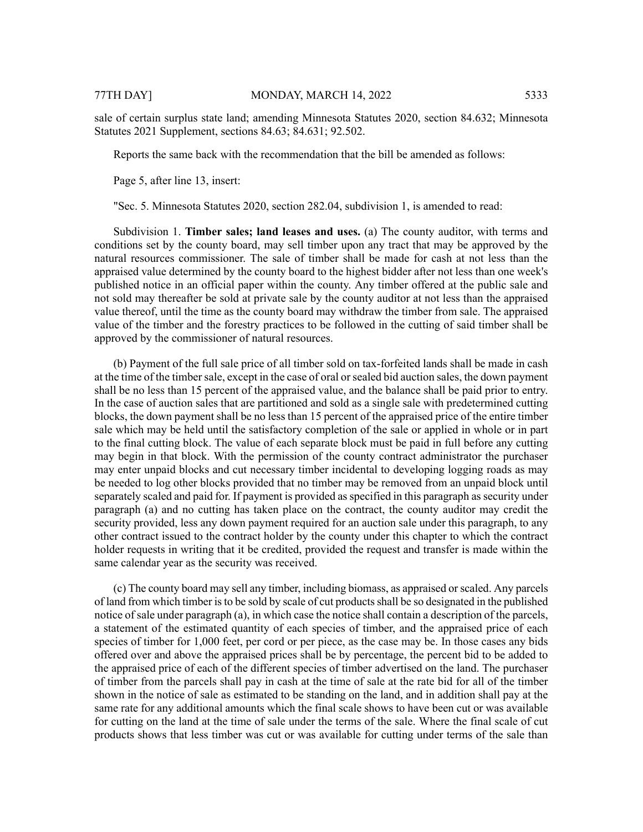sale of certain surplus state land; amending Minnesota Statutes 2020, section 84.632; Minnesota Statutes 2021 Supplement, sections 84.63; 84.631; 92.502.

Reports the same back with the recommendation that the bill be amended as follows:

Page 5, after line 13, insert:

"Sec. 5. Minnesota Statutes 2020, section 282.04, subdivision 1, is amended to read:

Subdivision 1. **Timber sales; land leases and uses.** (a) The county auditor, with terms and conditions set by the county board, may sell timber upon any tract that may be approved by the natural resources commissioner. The sale of timber shall be made for cash at not less than the appraised value determined by the county board to the highest bidder after not less than one week's published notice in an official paper within the county. Any timber offered at the public sale and not sold may thereafter be sold at private sale by the county auditor at not less than the appraised value thereof, until the time as the county board may withdraw the timber from sale. The appraised value of the timber and the forestry practices to be followed in the cutting of said timber shall be approved by the commissioner of natural resources.

(b) Payment of the full sale price of all timber sold on tax-forfeited lands shall be made in cash at the time of the timber sale, except in the case of oral or sealed bid auction sales, the down payment shall be no less than 15 percent of the appraised value, and the balance shall be paid prior to entry. In the case of auction sales that are partitioned and sold as a single sale with predetermined cutting blocks, the down payment shall be no less than 15 percent of the appraised price of the entire timber sale which may be held until the satisfactory completion of the sale or applied in whole or in part to the final cutting block. The value of each separate block must be paid in full before any cutting may begin in that block. With the permission of the county contract administrator the purchaser may enter unpaid blocks and cut necessary timber incidental to developing logging roads as may be needed to log other blocks provided that no timber may be removed from an unpaid block until separately scaled and paid for. If payment is provided as specified in this paragraph as security under paragraph (a) and no cutting has taken place on the contract, the county auditor may credit the security provided, less any down payment required for an auction sale under this paragraph, to any other contract issued to the contract holder by the county under this chapter to which the contract holder requests in writing that it be credited, provided the request and transfer is made within the same calendar year as the security was received.

(c) The county board may sell any timber, including biomass, as appraised orscaled. Any parcels of land from which timber is to be sold by scale of cut products shall be so designated in the published notice of sale under paragraph (a), in which case the notice shall contain a description of the parcels, a statement of the estimated quantity of each species of timber, and the appraised price of each species of timber for 1,000 feet, per cord or per piece, as the case may be. In those cases any bids offered over and above the appraised prices shall be by percentage, the percent bid to be added to the appraised price of each of the different species of timber advertised on the land. The purchaser of timber from the parcels shall pay in cash at the time of sale at the rate bid for all of the timber shown in the notice of sale as estimated to be standing on the land, and in addition shall pay at the same rate for any additional amounts which the final scale shows to have been cut or was available for cutting on the land at the time of sale under the terms of the sale. Where the final scale of cut products shows that less timber was cut or was available for cutting under terms of the sale than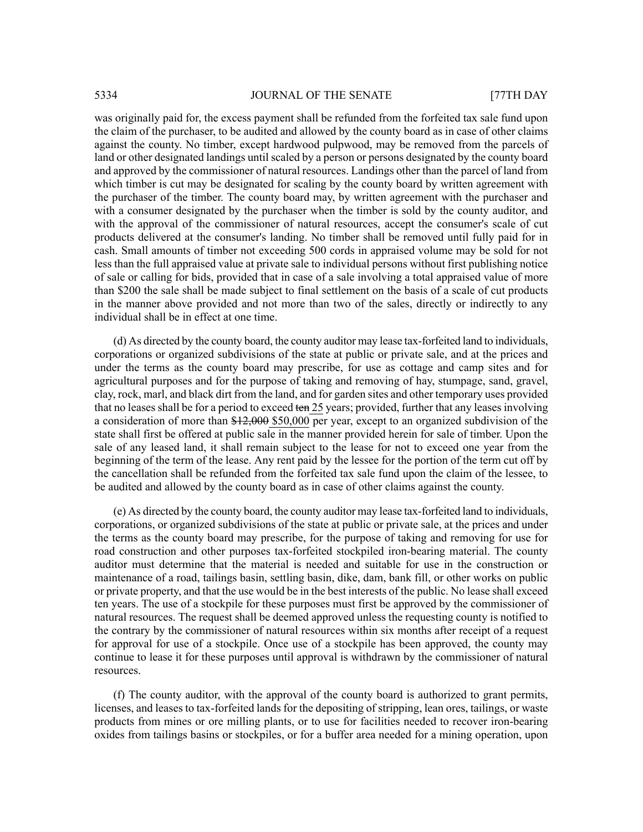was originally paid for, the excess payment shall be refunded from the forfeited tax sale fund upon the claim of the purchaser, to be audited and allowed by the county board as in case of other claims against the county. No timber, except hardwood pulpwood, may be removed from the parcels of land or other designated landings until scaled by a person or persons designated by the county board and approved by the commissioner of natural resources. Landings other than the parcel of land from which timber is cut may be designated for scaling by the county board by written agreement with the purchaser of the timber. The county board may, by written agreement with the purchaser and with a consumer designated by the purchaser when the timber is sold by the county auditor, and with the approval of the commissioner of natural resources, accept the consumer's scale of cut products delivered at the consumer's landing. No timber shall be removed until fully paid for in cash. Small amounts of timber not exceeding 500 cords in appraised volume may be sold for not less than the full appraised value at private sale to individual persons without first publishing notice of sale or calling for bids, provided that in case of a sale involving a total appraised value of more than \$200 the sale shall be made subject to final settlement on the basis of a scale of cut products in the manner above provided and not more than two of the sales, directly or indirectly to any individual shall be in effect at one time.

(d) As directed by the county board, the county auditor may lease tax-forfeited land to individuals, corporations or organized subdivisions of the state at public or private sale, and at the prices and under the terms as the county board may prescribe, for use as cottage and camp sites and for agricultural purposes and for the purpose of taking and removing of hay, stumpage, sand, gravel, clay, rock, marl, and black dirt from the land, and for garden sites and other temporary uses provided that no leases shall be for a period to exceed ten 25 years; provided, further that any leases involving a consideration of more than \$12,000 \$50,000 per year, except to an organized subdivision of the state shall first be offered at public sale in the manner provided herein for sale of timber. Upon the sale of any leased land, it shall remain subject to the lease for not to exceed one year from the beginning of the term of the lease. Any rent paid by the lessee for the portion of the term cut off by the cancellation shall be refunded from the forfeited tax sale fund upon the claim of the lessee, to be audited and allowed by the county board as in case of other claims against the county.

(e) As directed by the county board, the county auditor may lease tax-forfeited land to individuals, corporations, or organized subdivisions of the state at public or private sale, at the prices and under the terms as the county board may prescribe, for the purpose of taking and removing for use for road construction and other purposes tax-forfeited stockpiled iron-bearing material. The county auditor must determine that the material is needed and suitable for use in the construction or maintenance of a road, tailings basin, settling basin, dike, dam, bank fill, or other works on public or private property, and that the use would be in the best interests of the public. No lease shall exceed ten years. The use of a stockpile for these purposes must first be approved by the commissioner of natural resources. The request shall be deemed approved unless the requesting county is notified to the contrary by the commissioner of natural resources within six months after receipt of a request for approval for use of a stockpile. Once use of a stockpile has been approved, the county may continue to lease it for these purposes until approval is withdrawn by the commissioner of natural resources.

(f) The county auditor, with the approval of the county board is authorized to grant permits, licenses, and leases to tax-forfeited lands for the depositing of stripping, lean ores, tailings, or waste products from mines or ore milling plants, or to use for facilities needed to recover iron-bearing oxides from tailings basins or stockpiles, or for a buffer area needed for a mining operation, upon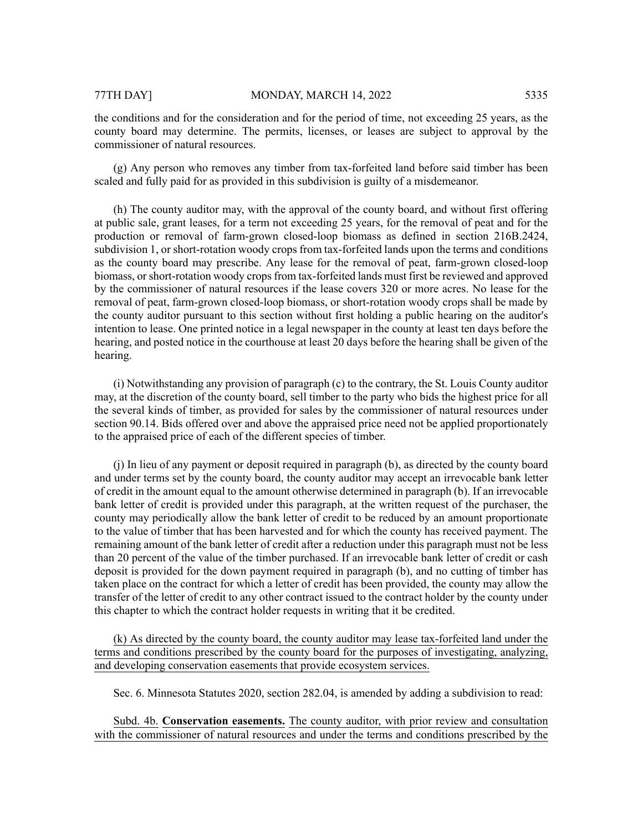the conditions and for the consideration and for the period of time, not exceeding 25 years, as the county board may determine. The permits, licenses, or leases are subject to approval by the commissioner of natural resources.

(g) Any person who removes any timber from tax-forfeited land before said timber has been scaled and fully paid for as provided in this subdivision is guilty of a misdemeanor.

(h) The county auditor may, with the approval of the county board, and without first offering at public sale, grant leases, for a term not exceeding 25 years, for the removal of peat and for the production or removal of farm-grown closed-loop biomass as defined in section 216B.2424, subdivision 1, or short-rotation woody crops from tax-forfeited lands upon the terms and conditions as the county board may prescribe. Any lease for the removal of peat, farm-grown closed-loop biomass, or short-rotation woody crops from tax-forfeited lands must first be reviewed and approved by the commissioner of natural resources if the lease covers 320 or more acres. No lease for the removal of peat, farm-grown closed-loop biomass, or short-rotation woody crops shall be made by the county auditor pursuant to this section without first holding a public hearing on the auditor's intention to lease. One printed notice in a legal newspaper in the county at least ten days before the hearing, and posted notice in the courthouse at least 20 days before the hearing shall be given of the hearing.

(i) Notwithstanding any provision of paragraph (c) to the contrary, the St. Louis County auditor may, at the discretion of the county board, sell timber to the party who bids the highest price for all the several kinds of timber, as provided for sales by the commissioner of natural resources under section 90.14. Bids offered over and above the appraised price need not be applied proportionately to the appraised price of each of the different species of timber.

(j) In lieu of any payment or deposit required in paragraph (b), as directed by the county board and under terms set by the county board, the county auditor may accept an irrevocable bank letter of credit in the amount equal to the amount otherwise determined in paragraph (b). If an irrevocable bank letter of credit is provided under this paragraph, at the written request of the purchaser, the county may periodically allow the bank letter of credit to be reduced by an amount proportionate to the value of timber that has been harvested and for which the county has received payment. The remaining amount of the bank letter of credit after a reduction under this paragraph must not be less than 20 percent of the value of the timber purchased. If an irrevocable bank letter of credit or cash deposit is provided for the down payment required in paragraph (b), and no cutting of timber has taken place on the contract for which a letter of credit has been provided, the county may allow the transfer of the letter of credit to any other contract issued to the contract holder by the county under this chapter to which the contract holder requests in writing that it be credited.

(k) As directed by the county board, the county auditor may lease tax-forfeited land under the terms and conditions prescribed by the county board for the purposes of investigating, analyzing, and developing conservation easements that provide ecosystem services.

Sec. 6. Minnesota Statutes 2020, section 282.04, is amended by adding a subdivision to read:

Subd. 4b. **Conservation easements.** The county auditor, with prior review and consultation with the commissioner of natural resources and under the terms and conditions prescribed by the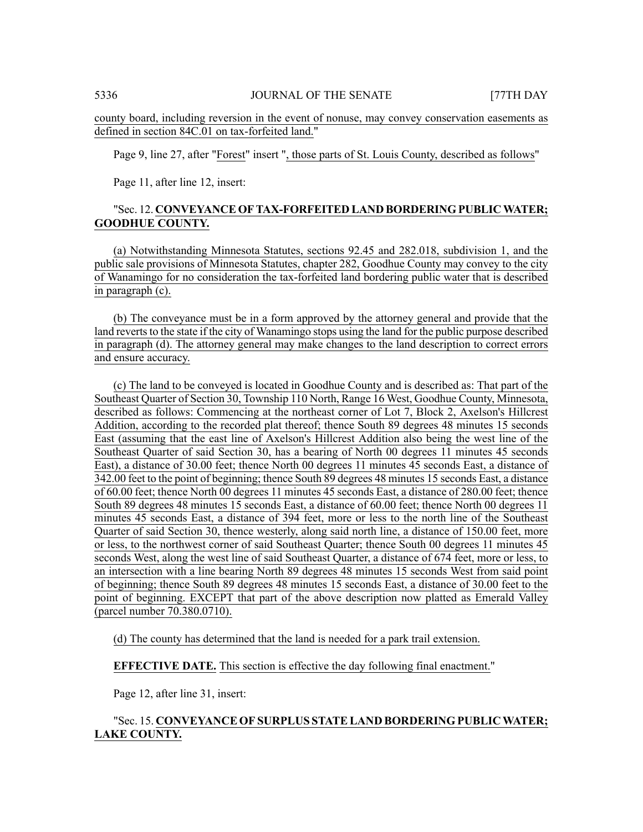county board, including reversion in the event of nonuse, may convey conservation easements as defined in section 84C.01 on tax-forfeited land."

Page 9, line 27, after "Forest" insert ", those parts of St. Louis County, described as follows"

Page 11, after line 12, insert:

# "Sec. 12. **CONVEYANCE OFTAX-FORFEITED LAND BORDERING PUBLICWATER; GOODHUE COUNTY.**

(a) Notwithstanding Minnesota Statutes, sections 92.45 and 282.018, subdivision 1, and the public sale provisions of Minnesota Statutes, chapter 282, Goodhue County may convey to the city of Wanamingo for no consideration the tax-forfeited land bordering public water that is described in paragraph (c).

(b) The conveyance must be in a form approved by the attorney general and provide that the land reverts to the state if the city of Wanamingo stops using the land for the public purpose described in paragraph (d). The attorney general may make changes to the land description to correct errors and ensure accuracy.

(c) The land to be conveyed is located in Goodhue County and is described as: That part of the Southeast Quarter of Section 30, Township 110 North, Range 16 West, Goodhue County, Minnesota, described as follows: Commencing at the northeast corner of Lot 7, Block 2, Axelson's Hillcrest Addition, according to the recorded plat thereof; thence South 89 degrees 48 minutes 15 seconds East (assuming that the east line of Axelson's Hillcrest Addition also being the west line of the Southeast Quarter of said Section 30, has a bearing of North 00 degrees 11 minutes 45 seconds East), a distance of 30.00 feet; thence North 00 degrees 11 minutes 45 seconds East, a distance of 342.00 feet to the point of beginning; thence South 89 degrees 48 minutes 15 seconds East, a distance of 60.00 feet; thence North 00 degrees 11 minutes 45 seconds East, a distance of 280.00 feet; thence South 89 degrees 48 minutes 15 seconds East, a distance of 60.00 feet; thence North 00 degrees 11 minutes 45 seconds East, a distance of 394 feet, more or less to the north line of the Southeast Quarter of said Section 30, thence westerly, along said north line, a distance of 150.00 feet, more or less, to the northwest corner of said Southeast Quarter; thence South 00 degrees 11 minutes 45 seconds West, along the west line of said Southeast Quarter, a distance of 674 feet, more or less, to an intersection with a line bearing North 89 degrees 48 minutes 15 seconds West from said point of beginning; thence South 89 degrees 48 minutes 15 seconds East, a distance of 30.00 feet to the point of beginning. EXCEPT that part of the above description now platted as Emerald Valley (parcel number 70.380.0710).

(d) The county has determined that the land is needed for a park trail extension.

**EFFECTIVE DATE.** This section is effective the day following final enactment."

Page 12, after line 31, insert:

# "Sec. 15. **CONVEYANCE OF SURPLUS STATELAND BORDERING PUBLICWATER; LAKE COUNTY.**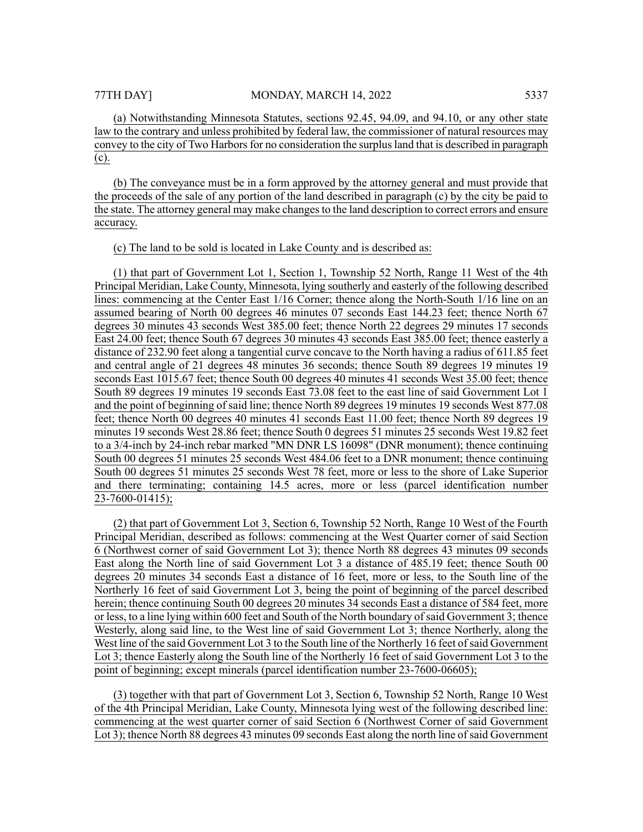(a) Notwithstanding Minnesota Statutes, sections 92.45, 94.09, and 94.10, or any other state law to the contrary and unless prohibited by federal law, the commissioner of natural resources may convey to the city of Two Harbors for no consideration the surplus land that is described in paragraph (c).

(b) The conveyance must be in a form approved by the attorney general and must provide that the proceeds of the sale of any portion of the land described in paragraph (c) by the city be paid to the state. The attorney general may make changes to the land description to correct errors and ensure accuracy.

#### (c) The land to be sold is located in Lake County and is described as:

(1) that part of Government Lot 1, Section 1, Township 52 North, Range 11 West of the 4th Principal Meridian, Lake County, Minnesota, lying southerly and easterly of the following described lines: commencing at the Center East 1/16 Corner; thence along the North-South 1/16 line on an assumed bearing of North 00 degrees 46 minutes 07 seconds East 144.23 feet; thence North 67 degrees 30 minutes 43 seconds West 385.00 feet; thence North 22 degrees 29 minutes 17 seconds East 24.00 feet; thence South 67 degrees 30 minutes 43 seconds East 385.00 feet; thence easterly a distance of 232.90 feet along a tangential curve concave to the North having a radius of 611.85 feet and central angle of 21 degrees 48 minutes 36 seconds; thence South 89 degrees 19 minutes 19 seconds East 1015.67 feet; thence South 00 degrees 40 minutes 41 seconds West 35.00 feet; thence South 89 degrees 19 minutes 19 seconds East 73.08 feet to the east line of said Government Lot 1 and the point of beginning of said line; thence North 89 degrees 19 minutes 19 seconds West 877.08 feet; thence North 00 degrees 40 minutes 41 seconds East 11.00 feet; thence North 89 degrees 19 minutes 19 seconds West 28.86 feet; thence South 0 degrees 51 minutes 25 seconds West 19.82 feet to a 3/4-inch by 24-inch rebar marked "MN DNR LS 16098" (DNR monument); thence continuing South 00 degrees 51 minutes 25 seconds West 484.06 feet to a DNR monument; thence continuing South 00 degrees 51 minutes 25 seconds West 78 feet, more or less to the shore of Lake Superior and there terminating; containing 14.5 acres, more or less (parcel identification number 23-7600-01415);

(2) that part of Government Lot 3, Section 6, Township 52 North, Range 10 West of the Fourth Principal Meridian, described as follows: commencing at the West Quarter corner of said Section 6 (Northwest corner of said Government Lot 3); thence North 88 degrees 43 minutes 09 seconds East along the North line of said Government Lot 3 a distance of 485.19 feet; thence South 00 degrees 20 minutes 34 seconds East a distance of 16 feet, more or less, to the South line of the Northerly 16 feet of said Government Lot 3, being the point of beginning of the parcel described herein; thence continuing South 00 degrees 20 minutes 34 seconds East a distance of 584 feet, more or less, to a line lying within 600 feet and South of the North boundary ofsaid Government 3; thence Westerly, along said line, to the West line of said Government Lot 3; thence Northerly, along the West line of the said Government Lot 3 to the South line of the Northerly 16 feet of said Government Lot 3; thence Easterly along the South line of the Northerly 16 feet of said Government Lot 3 to the point of beginning; except minerals (parcel identification number 23-7600-06605);

(3) together with that part of Government Lot 3, Section 6, Township 52 North, Range 10 West of the 4th Principal Meridian, Lake County, Minnesota lying west of the following described line: commencing at the west quarter corner of said Section 6 (Northwest Corner of said Government Lot 3); thence North 88 degrees 43 minutes 09 seconds East along the north line of said Government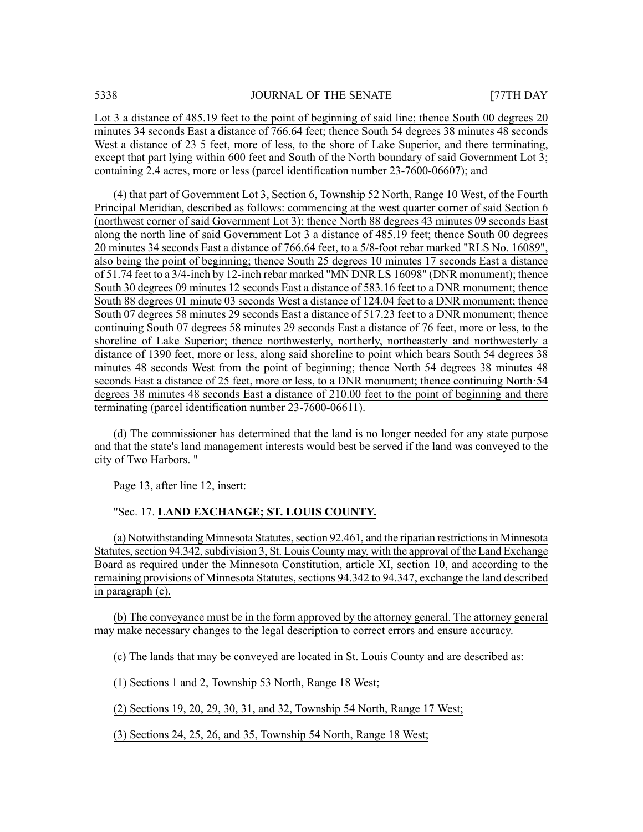Lot 3 a distance of 485.19 feet to the point of beginning of said line; thence South 00 degrees 20 minutes 34 seconds East a distance of 766.64 feet; thence South 54 degrees 38 minutes 48 seconds West a distance of 23 5 feet, more of less, to the shore of Lake Superior, and there terminating, except that part lying within 600 feet and South of the North boundary of said Government Lot 3; containing 2.4 acres, more or less (parcel identification number 23-7600-06607); and

(4) that part of Government Lot 3, Section 6, Township 52 North, Range 10 West, of the Fourth Principal Meridian, described as follows: commencing at the west quarter corner of said Section 6 (northwest corner of said Government Lot 3); thence North 88 degrees 43 minutes 09 seconds East along the north line of said Government Lot 3 a distance of 485.19 feet; thence South 00 degrees 20 minutes 34 seconds East a distance of 766.64 feet, to a 5/8-foot rebar marked "RLS No. 16089", also being the point of beginning; thence South 25 degrees 10 minutes 17 seconds East a distance of 51.74 feet to a 3/4-inch by 12-inch rebar marked "MN DNR LS 16098" (DNR monument); thence South 30 degrees 09 minutes 12 seconds East a distance of 583.16 feet to a DNR monument; thence South 88 degrees 01 minute 03 seconds West a distance of 124.04 feet to a DNR monument; thence South 07 degrees 58 minutes 29 seconds East a distance of 517.23 feet to a DNR monument; thence continuing South 07 degrees 58 minutes 29 seconds East a distance of 76 feet, more or less, to the shoreline of Lake Superior; thence northwesterly, northerly, northeasterly and northwesterly a distance of 1390 feet, more or less, along said shoreline to point which bears South 54 degrees 38 minutes 48 seconds West from the point of beginning; thence North 54 degrees 38 minutes 48 seconds East a distance of 25 feet, more or less, to a DNR monument; thence continuing North·54 degrees 38 minutes 48 seconds East a distance of 210.00 feet to the point of beginning and there terminating (parcel identification number 23-7600-06611).

(d) The commissioner has determined that the land is no longer needed for any state purpose and that the state's land management interests would best be served if the land was conveyed to the city of Two Harbors. "

Page 13, after line 12, insert:

#### "Sec. 17. **LAND EXCHANGE; ST. LOUIS COUNTY.**

(a) Notwithstanding Minnesota Statutes, section 92.461, and the riparian restrictions in Minnesota Statutes, section 94.342, subdivision 3, St. Louis County may, with the approval of the Land Exchange Board as required under the Minnesota Constitution, article XI, section 10, and according to the remaining provisions of Minnesota Statutes, sections 94.342 to 94.347, exchange the land described in paragraph (c).

(b) The conveyance must be in the form approved by the attorney general. The attorney general may make necessary changes to the legal description to correct errors and ensure accuracy.

(c) The lands that may be conveyed are located in St. Louis County and are described as:

(1) Sections 1 and 2, Township 53 North, Range 18 West;

(2) Sections 19, 20, 29, 30, 31, and 32, Township 54 North, Range 17 West;

(3) Sections 24, 25, 26, and 35, Township 54 North, Range 18 West;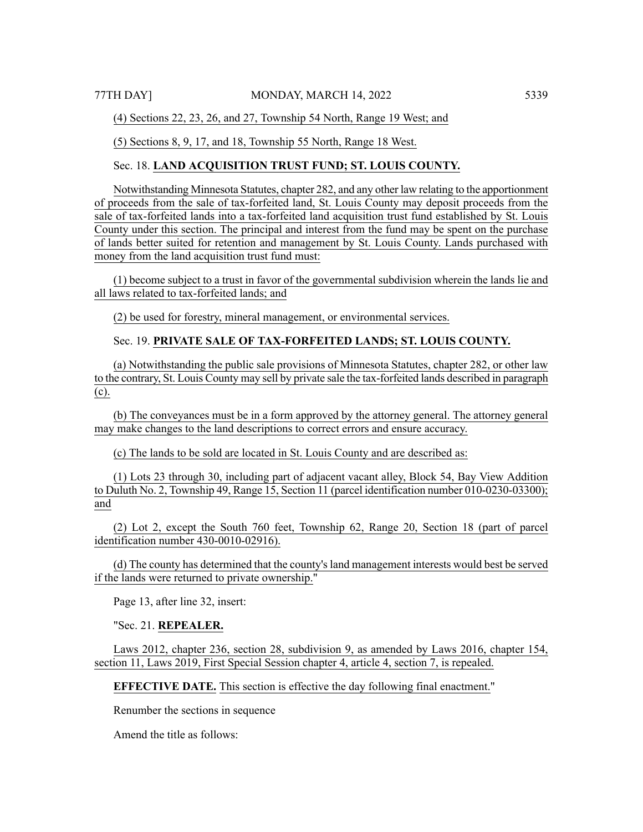(4) Sections 22, 23, 26, and 27, Township 54 North, Range 19 West; and

(5) Sections 8, 9, 17, and 18, Township 55 North, Range 18 West.

# Sec. 18. **LAND ACQUISITION TRUST FUND; ST. LOUIS COUNTY.**

Notwithstanding Minnesota Statutes, chapter 282, and any other law relating to the apportionment of proceeds from the sale of tax-forfeited land, St. Louis County may deposit proceeds from the sale of tax-forfeited lands into a tax-forfeited land acquisition trust fund established by St. Louis County under this section. The principal and interest from the fund may be spent on the purchase of lands better suited for retention and management by St. Louis County. Lands purchased with money from the land acquisition trust fund must:

(1) become subject to a trust in favor of the governmental subdivision wherein the lands lie and all laws related to tax-forfeited lands; and

(2) be used for forestry, mineral management, or environmental services.

# Sec. 19. **PRIVATE SALE OF TAX-FORFEITED LANDS; ST. LOUIS COUNTY.**

(a) Notwithstanding the public sale provisions of Minnesota Statutes, chapter 282, or other law to the contrary, St. Louis County may sell by private sale the tax-forfeited lands described in paragraph (c).

(b) The conveyances must be in a form approved by the attorney general. The attorney general may make changes to the land descriptions to correct errors and ensure accuracy.

(c) The lands to be sold are located in St. Louis County and are described as:

(1) Lots 23 through 30, including part of adjacent vacant alley, Block 54, Bay View Addition to Duluth No. 2, Township 49, Range 15, Section 11 (parcel identification number 010-0230-03300); and

(2) Lot 2, except the South 760 feet, Township 62, Range 20, Section 18 (part of parcel identification number 430-0010-02916).

(d) The county has determined that the county's land management interests would best be served if the lands were returned to private ownership."

Page 13, after line 32, insert:

"Sec. 21. **REPEALER.**

Laws 2012, chapter 236, section 28, subdivision 9, as amended by Laws 2016, chapter 154, section 11, Laws 2019, First Special Session chapter 4, article 4, section 7, is repealed.

**EFFECTIVE DATE.** This section is effective the day following final enactment."

Renumber the sections in sequence

Amend the title as follows: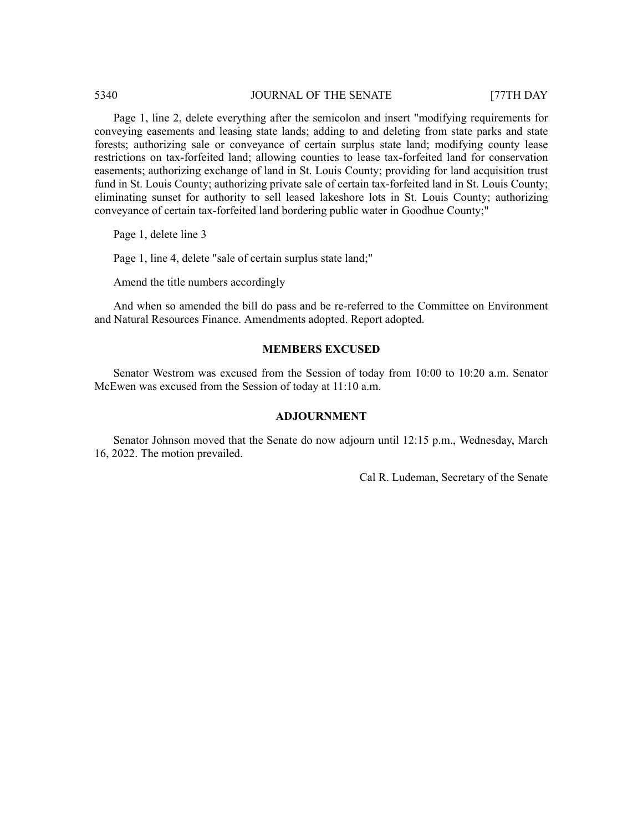Page 1, line 2, delete everything after the semicolon and insert "modifying requirements for conveying easements and leasing state lands; adding to and deleting from state parks and state forests; authorizing sale or conveyance of certain surplus state land; modifying county lease restrictions on tax-forfeited land; allowing counties to lease tax-forfeited land for conservation easements; authorizing exchange of land in St. Louis County; providing for land acquisition trust fund in St. Louis County; authorizing private sale of certain tax-forfeited land in St. Louis County; eliminating sunset for authority to sell leased lakeshore lots in St. Louis County; authorizing conveyance of certain tax-forfeited land bordering public water in Goodhue County;"

Page 1, delete line 3

Page 1, line 4, delete "sale of certain surplus state land;"

Amend the title numbers accordingly

And when so amended the bill do pass and be re-referred to the Committee on Environment and Natural Resources Finance. Amendments adopted. Report adopted.

# **MEMBERS EXCUSED**

Senator Westrom was excused from the Session of today from 10:00 to 10:20 a.m. Senator McEwen was excused from the Session of today at 11:10 a.m.

# **ADJOURNMENT**

Senator Johnson moved that the Senate do now adjourn until 12:15 p.m., Wednesday, March 16, 2022. The motion prevailed.

Cal R. Ludeman, Secretary of the Senate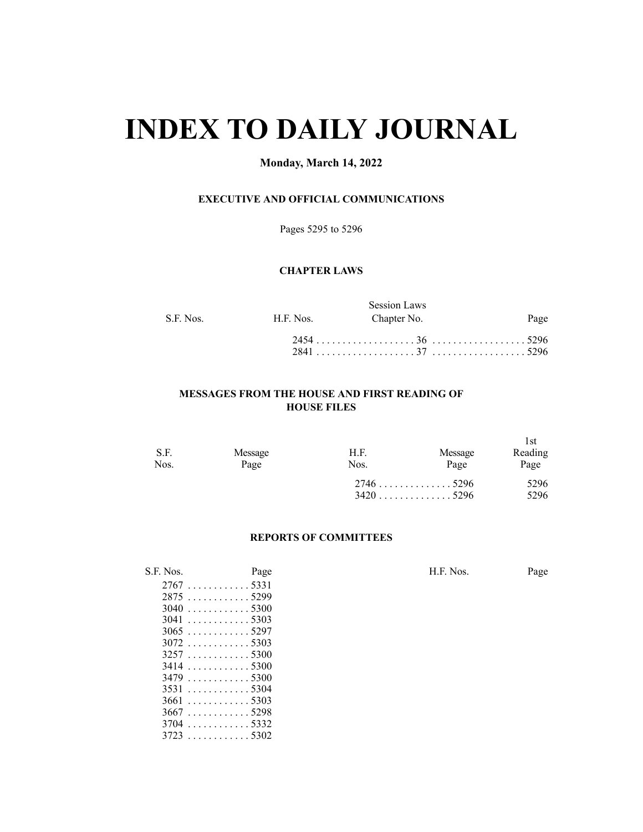# **INDEX TO DAILY JOURNAL**

# **Monday, March 14, 2022**

# **EXECUTIVE AND OFFICIAL COMMUNICATIONS**

Pages 5295 to 5296

# **CHAPTER LAWS**

|           |           | <b>Session Laws</b> |      |
|-----------|-----------|---------------------|------|
| S.F. Nos. | H.F. Nos. | Chapter No.         | Page |
|           |           |                     |      |
|           |           |                     |      |

# **MESSAGES FROM THE HOUSE AND FIRST READING OF HOUSE FILES**

| S.F.<br>Nos. | Message<br>Page | H.F.<br>Nos. | Message<br>Page | l st<br>Reading<br>Page |
|--------------|-----------------|--------------|-----------------|-------------------------|
|              |                 |              |                 | 5296<br>5296            |

# **REPORTS OF COMMITTEES**

| S.F. Nos. | Page                     |  | H.F. Nos. | Page |
|-----------|--------------------------|--|-----------|------|
|           |                          |  |           |      |
|           | 28755299                 |  |           |      |
|           | $3040$ 5300              |  |           |      |
|           | $3041$ 5303              |  |           |      |
|           | $3065$ 5297              |  |           |      |
|           | $3072$ 5303              |  |           |      |
|           |                          |  |           |      |
|           | $3414$ 5300              |  |           |      |
|           | $3479 \dots  \dots 5300$ |  |           |      |
|           | $3531$ 5304              |  |           |      |
|           | $3661$ 5303              |  |           |      |
|           | $3667$ 5298              |  |           |      |
|           | $3704$ 5332              |  |           |      |
|           |                          |  |           |      |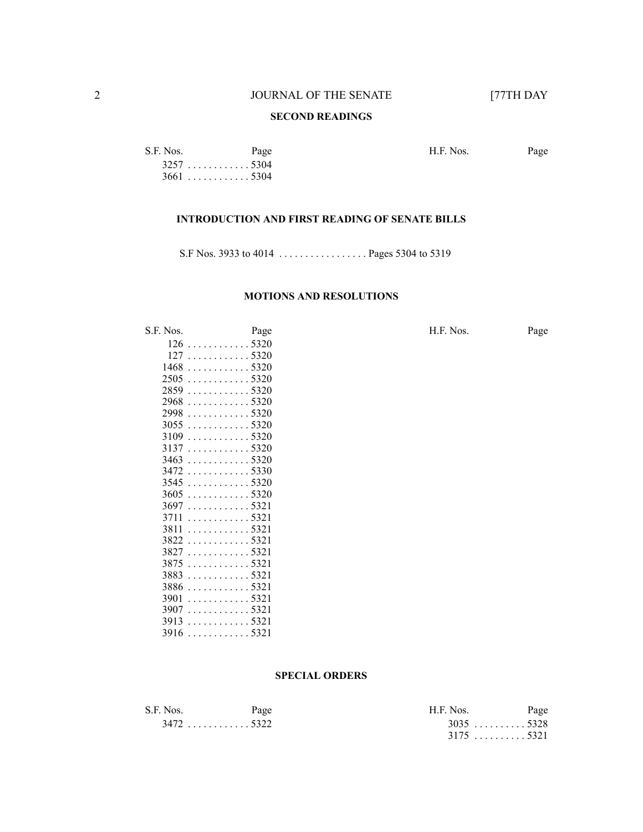# **SECOND READINGS**

S.F. Nos. Page Page H.F. Nos. Page . . . . . . . . . . . . 5304 . . . . . . . . . . . . 5304

# **INTRODUCTION AND FIRST READING OF SENATE BILLS**

S.F Nos. 3933 to 4014 . . . . . . . . . . . . . . . . . Pages 5304 to 5319

# **MOTIONS AND RESOLUTIONS**

| 1905. | r age       |  |
|-------|-------------|--|
| 126   | . 5320      |  |
| 127   | . 5320      |  |
| 1468  | . 5320      |  |
|       | $2505$ 5320 |  |
| 2859  | . 5320      |  |
| 2968  | . 5320      |  |
| 2998  | . 5320      |  |
| 3055  | . 5320      |  |
| 3109  | . 5320      |  |
| 3137  | . 5320      |  |
| 3463  | . 5320      |  |
| 3472  | . 5330      |  |
| 3545  | . 5320      |  |
| 3605  | . 5320      |  |
| 3697  | . 5321      |  |
| 3711  | . 5321      |  |
| 3811  | . 5321      |  |
| 3822  | . 5321      |  |
| 3827  | . 5321      |  |
| 3875  | . 5321      |  |
| 3883  | . 5321      |  |
| 3886  | . 5321      |  |
| 3901  | . 5321      |  |
| 3907  | . 5321      |  |
| 3913  | . 5321      |  |
| 3916  | . 5321      |  |
|       |             |  |

# S.F. Nos. Page Page H.F. Nos. Page

# **SPECIAL ORDERS**

| S.F. Nos. | Page        | $HF$ Nos    | Page |
|-----------|-------------|-------------|------|
|           | $3472$ 5322 | $3035$ 5328 |      |
|           |             | $3175$ 5321 |      |